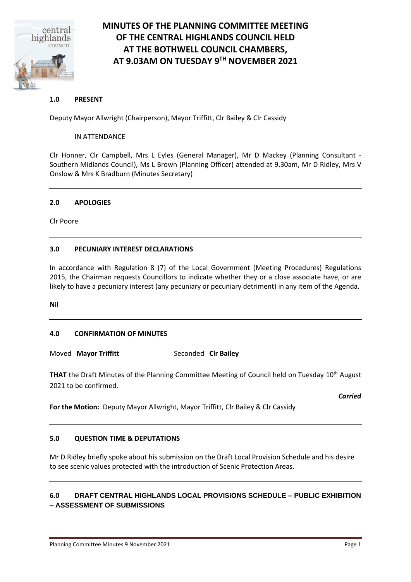

## **MINUTES OF THE PLANNING COMMITTEE MEETING OF THE CENTRAL HIGHLANDS COUNCIL HELD AT THE BOTHWELL COUNCIL CHAMBERS, AT 9.03AM ON TUESDAY 9 TH NOVEMBER 2021**

### **1.0 PRESENT**

Deputy Mayor Allwright (Chairperson), Mayor Triffitt, Clr Bailey & Clr Cassidy

### IN ATTENDANCE

Clr Honner, Clr Campbell, Mrs L Eyles (General Manager), Mr D Mackey (Planning Consultant - Southern Midlands Council), Ms L Brown (Planning Officer) attended at 9.30am, Mr D Ridley, Mrs V Onslow & Mrs K Bradburn (Minutes Secretary)

### **2.0 APOLOGIES**

Clr Poore

### **3.0 PECUNIARY INTEREST DECLARATIONS**

In accordance with Regulation 8 (7) of the Local Government (Meeting Procedures) Regulations 2015, the Chairman requests Councillors to indicate whether they or a close associate have, or are likely to have a pecuniary interest (any pecuniary or pecuniary detriment) in any item of the Agenda.

**Nil**

### **4.0 CONFIRMATION OF MINUTES**

Moved **Mayor Triffitt** Seconded **Clr Bailey**

**THAT** the Draft Minutes of the Planning Committee Meeting of Council held on Tuesday 10<sup>th</sup> August 2021 to be confirmed.

*Carried*

**For the Motion:** Deputy Mayor Allwright, Mayor Triffitt, Clr Bailey & Clr Cassidy

### **5.0 QUESTION TIME & DEPUTATIONS**

Mr D Ridley briefly spoke about his submission on the Draft Local Provision Schedule and his desire to see scenic values protected with the introduction of Scenic Protection Areas.

### **6.0 DRAFT CENTRAL HIGHLANDS LOCAL PROVISIONS SCHEDULE – PUBLIC EXHIBITION – ASSESSMENT OF SUBMISSIONS**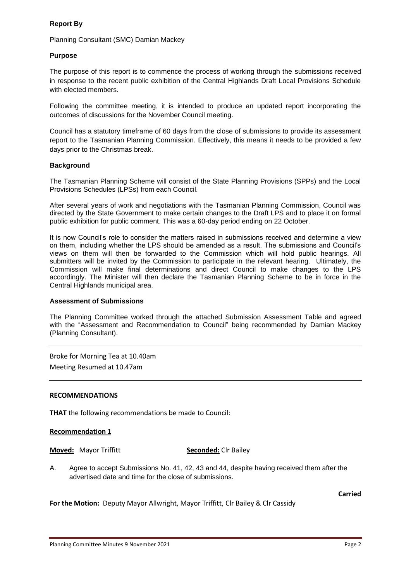### **Report By**

Planning Consultant (SMC) Damian Mackey

### **Purpose**

The purpose of this report is to commence the process of working through the submissions received in response to the recent public exhibition of the Central Highlands Draft Local Provisions Schedule with elected members.

Following the committee meeting, it is intended to produce an updated report incorporating the outcomes of discussions for the November Council meeting.

Council has a statutory timeframe of 60 days from the close of submissions to provide its assessment report to the Tasmanian Planning Commission. Effectively, this means it needs to be provided a few days prior to the Christmas break.

### **Background**

The Tasmanian Planning Scheme will consist of the State Planning Provisions (SPPs) and the Local Provisions Schedules (LPSs) from each Council.

After several years of work and negotiations with the Tasmanian Planning Commission, Council was directed by the State Government to make certain changes to the Draft LPS and to place it on formal public exhibition for public comment. This was a 60-day period ending on 22 October.

It is now Council's role to consider the matters raised in submissions received and determine a view on them, including whether the LPS should be amended as a result. The submissions and Council's views on them will then be forwarded to the Commission which will hold public hearings. All submitters will be invited by the Commission to participate in the relevant hearing. Ultimately, the Commission will make final determinations and direct Council to make changes to the LPS accordingly. The Minister will then declare the Tasmanian Planning Scheme to be in force in the Central Highlands municipal area.

### **Assessment of Submissions**

The Planning Committee worked through the attached Submission Assessment Table and agreed with the "Assessment and Recommendation to Council" being recommended by Damian Mackey (Planning Consultant).

Broke for Morning Tea at 10.40am Meeting Resumed at 10.47am

### **RECOMMENDATIONS**

**THAT** the following recommendations be made to Council:

### **Recommendation 1**

**Moved:** Mayor Triffitt **Seconded:** Clr Bailey

A. Agree to accept Submissions No. 41, 42, 43 and 44, despite having received them after the advertised date and time for the close of submissions.

**Carried**

**For the Motion:** Deputy Mayor Allwright, Mayor Triffitt, Clr Bailey & Clr Cassidy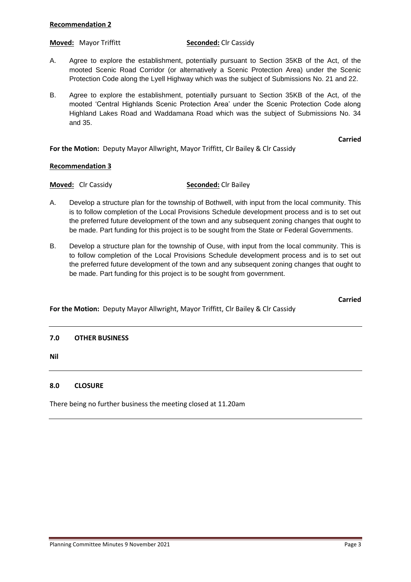### **Recommendation 2**

**Moved:** Mayor Triffitt **Seconded:** Clr Cassidy

- A. Agree to explore the establishment, potentially pursuant to Section 35KB of the Act, of the mooted Scenic Road Corridor (or alternatively a Scenic Protection Area) under the Scenic Protection Code along the Lyell Highway which was the subject of Submissions No. 21 and 22.
- B. Agree to explore the establishment, potentially pursuant to Section 35KB of the Act, of the mooted 'Central Highlands Scenic Protection Area' under the Scenic Protection Code along Highland Lakes Road and Waddamana Road which was the subject of Submissions No. 34 and 35.

**Carried**

**For the Motion:** Deputy Mayor Allwright, Mayor Triffitt, Clr Bailey & Clr Cassidy

### **Recommendation 3**

### **Moved:** Clr Cassidy **Seconded:** Clr Bailey

- A. Develop a structure plan for the township of Bothwell, with input from the local community. This is to follow completion of the Local Provisions Schedule development process and is to set out the preferred future development of the town and any subsequent zoning changes that ought to be made. Part funding for this project is to be sought from the State or Federal Governments.
- B. Develop a structure plan for the township of Ouse, with input from the local community. This is to follow completion of the Local Provisions Schedule development process and is to set out the preferred future development of the town and any subsequent zoning changes that ought to be made. Part funding for this project is to be sought from government.

**Carried**

### **For the Motion:** Deputy Mayor Allwright, Mayor Triffitt, Clr Bailey & Clr Cassidy

### **7.0 OTHER BUSINESS**

**Nil**

### **8.0 CLOSURE**

There being no further business the meeting closed at 11.20am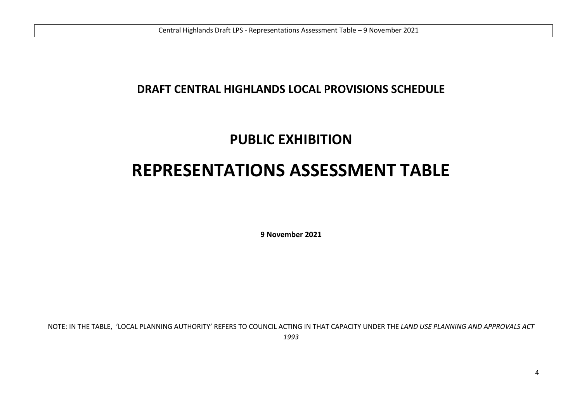# **DRAFT CENTRAL HIGHLANDS LOCAL PROVISIONS SCHEDULE**

# **PUBLIC EXHIBITION**

# **REPRESENTATIONS ASSESSMENT TABLE**

**9 November 2021**

NOTE: IN THE TABLE, 'LOCAL PLANNING AUTHORITY' REFERS TO COUNCIL ACTING IN THAT CAPACITY UNDER THE *LAND USE PLANNING AND APPROVALS ACT 1993*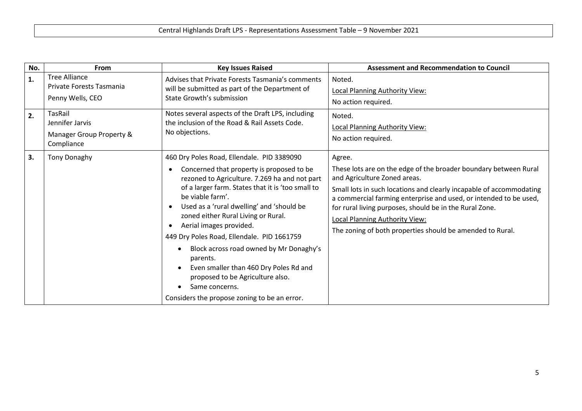| No. | <b>From</b>                                                                 | <b>Key Issues Raised</b>                                                                                                                                                                                                                                                                                                                                                                                                                                                                                                                                                              | <b>Assessment and Recommendation to Council</b>                                                                                                                                                                                                                                                                                                                                                                         |
|-----|-----------------------------------------------------------------------------|---------------------------------------------------------------------------------------------------------------------------------------------------------------------------------------------------------------------------------------------------------------------------------------------------------------------------------------------------------------------------------------------------------------------------------------------------------------------------------------------------------------------------------------------------------------------------------------|-------------------------------------------------------------------------------------------------------------------------------------------------------------------------------------------------------------------------------------------------------------------------------------------------------------------------------------------------------------------------------------------------------------------------|
| 1.  | <b>Tree Alliance</b><br>Private Forests Tasmania<br>Penny Wells, CEO        | Advises that Private Forests Tasmania's comments<br>will be submitted as part of the Department of<br>State Growth's submission                                                                                                                                                                                                                                                                                                                                                                                                                                                       | Noted.<br><b>Local Planning Authority View:</b><br>No action required.                                                                                                                                                                                                                                                                                                                                                  |
| 2.  | <b>TasRail</b><br>Jennifer Jarvis<br>Manager Group Property &<br>Compliance | Notes several aspects of the Draft LPS, including<br>the inclusion of the Road & Rail Assets Code.<br>No objections.                                                                                                                                                                                                                                                                                                                                                                                                                                                                  | Noted.<br><b>Local Planning Authority View:</b><br>No action required.                                                                                                                                                                                                                                                                                                                                                  |
| 3.  | <b>Tony Donaghy</b>                                                         | 460 Dry Poles Road, Ellendale. PID 3389090<br>Concerned that property is proposed to be<br>rezoned to Agriculture. 7.269 ha and not part<br>of a larger farm. States that it is 'too small to<br>be viable farm'.<br>Used as a 'rural dwelling' and 'should be<br>zoned either Rural Living or Rural.<br>Aerial images provided.<br>449 Dry Poles Road, Ellendale. PID 1661759<br>Block across road owned by Mr Donaghy's<br>parents.<br>Even smaller than 460 Dry Poles Rd and<br>proposed to be Agriculture also.<br>Same concerns.<br>Considers the propose zoning to be an error. | Agree.<br>These lots are on the edge of the broader boundary between Rural<br>and Agriculture Zoned areas.<br>Small lots in such locations and clearly incapable of accommodating<br>a commercial farming enterprise and used, or intended to be used,<br>for rural living purposes, should be in the Rural Zone.<br><b>Local Planning Authority View:</b><br>The zoning of both properties should be amended to Rural. |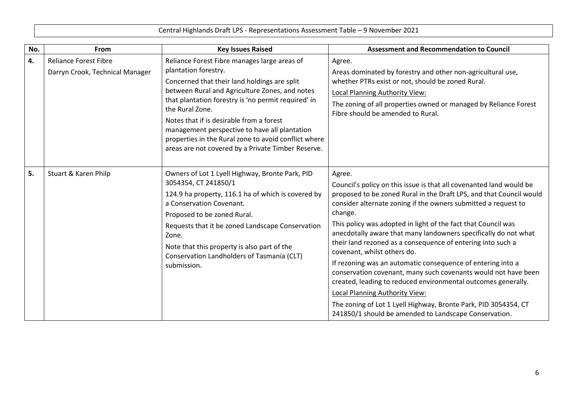| Central Highlands Draft LPS - Representations Assessment Table - 9 November 2021 |
|----------------------------------------------------------------------------------|
|----------------------------------------------------------------------------------|

| No. | From                                                            | <b>Key Issues Raised</b>                                                                                                                                                                                                                                                                                                                                                                                                                                    | <b>Assessment and Recommendation to Council</b>                                                                                                                                                                                                                                                                                                                                                                                                                                                                                                                                                                                                                                                                                                                                                                                            |
|-----|-----------------------------------------------------------------|-------------------------------------------------------------------------------------------------------------------------------------------------------------------------------------------------------------------------------------------------------------------------------------------------------------------------------------------------------------------------------------------------------------------------------------------------------------|--------------------------------------------------------------------------------------------------------------------------------------------------------------------------------------------------------------------------------------------------------------------------------------------------------------------------------------------------------------------------------------------------------------------------------------------------------------------------------------------------------------------------------------------------------------------------------------------------------------------------------------------------------------------------------------------------------------------------------------------------------------------------------------------------------------------------------------------|
| 4.  | <b>Reliance Forest Fibre</b><br>Darryn Crook, Technical Manager | Reliance Forest Fibre manages large areas of<br>plantation forestry.<br>Concerned that their land holdings are split<br>between Rural and Agriculture Zones, and notes<br>that plantation forestry is 'no permit required' in<br>the Rural Zone.<br>Notes that if is desirable from a forest<br>management perspective to have all plantation<br>properties in the Rural zone to avoid conflict where<br>areas are not covered by a Private Timber Reserve. | Agree.<br>Areas dominated by forestry and other non-agricultural use,<br>whether PTRs exist or not, should be zoned Rural.<br>Local Planning Authority View:<br>The zoning of all properties owned or managed by Reliance Forest<br>Fibre should be amended to Rural.                                                                                                                                                                                                                                                                                                                                                                                                                                                                                                                                                                      |
| 5.  | Stuart & Karen Philp                                            | Owners of Lot 1 Lyell Highway, Bronte Park, PID<br>3054354, CT 241850/1<br>124.9 ha property, 116.1 ha of which is covered by<br>a Conservation Covenant.<br>Proposed to be zoned Rural.<br>Requests that it be zoned Landscape Conservation<br>Zone.<br>Note that this property is also part of the<br>Conservation Landholders of Tasmania (CLT)<br>submission.                                                                                           | Agree.<br>Council's policy on this issue is that all covenanted land would be<br>proposed to be zoned Rural in the Draft LPS, and that Council would<br>consider alternate zoning if the owners submitted a request to<br>change.<br>This policy was adopted in light of the fact that Council was<br>anecdotally aware that many landowners specifically do not what<br>their land rezoned as a consequence of entering into such a<br>covenant, whilst others do.<br>If rezoning was an automatic consequence of entering into a<br>conservation covenant, many such covenants would not have been<br>created, leading to reduced environmental outcomes generally.<br><b>Local Planning Authority View:</b><br>The zoning of Lot 1 Lyell Highway, Bronte Park, PID 3054354, CT<br>241850/1 should be amended to Landscape Conservation. |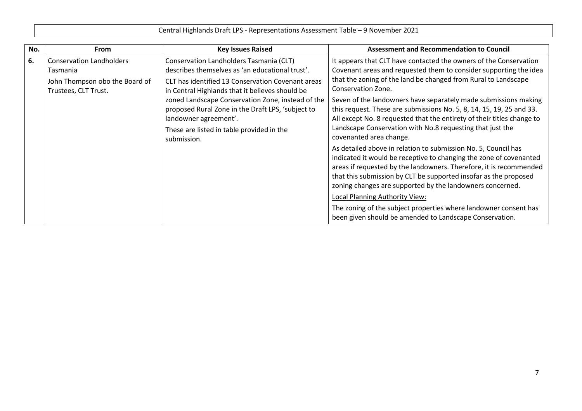| No. | <b>From</b>                                                                                           | <b>Key Issues Raised</b>                                                                                                                                                                           | <b>Assessment and Recommendation to Council</b>                                                                                                                                                                                                                                                                                             |
|-----|-------------------------------------------------------------------------------------------------------|----------------------------------------------------------------------------------------------------------------------------------------------------------------------------------------------------|---------------------------------------------------------------------------------------------------------------------------------------------------------------------------------------------------------------------------------------------------------------------------------------------------------------------------------------------|
| 6.  | <b>Conservation Landholders</b><br>Tasmania<br>John Thompson obo the Board of<br>Trustees, CLT Trust. | Conservation Landholders Tasmania (CLT)<br>describes themselves as 'an educational trust'.<br>CLT has identified 13 Conservation Covenant areas<br>in Central Highlands that it believes should be | It appears that CLT have contacted the owners of the Conservation<br>Covenant areas and requested them to consider supporting the idea<br>that the zoning of the land be changed from Rural to Landscape<br>Conservation Zone.                                                                                                              |
|     |                                                                                                       | zoned Landscape Conservation Zone, instead of the<br>proposed Rural Zone in the Draft LPS, 'subject to<br>landowner agreement'.<br>These are listed in table provided in the<br>submission.        | Seven of the landowners have separately made submissions making<br>this request. These are submissions No. 5, 8, 14, 15, 19, 25 and 33.<br>All except No. 8 requested that the entirety of their titles change to<br>Landscape Conservation with No.8 requesting that just the<br>covenanted area change.                                   |
|     |                                                                                                       |                                                                                                                                                                                                    | As detailed above in relation to submission No. 5, Council has<br>indicated it would be receptive to changing the zone of covenanted<br>areas if requested by the landowners. Therefore, it is recommended<br>that this submission by CLT be supported insofar as the proposed<br>zoning changes are supported by the landowners concerned. |
|     |                                                                                                       |                                                                                                                                                                                                    | Local Planning Authority View:                                                                                                                                                                                                                                                                                                              |
|     |                                                                                                       |                                                                                                                                                                                                    | The zoning of the subject properties where landowner consent has<br>been given should be amended to Landscape Conservation.                                                                                                                                                                                                                 |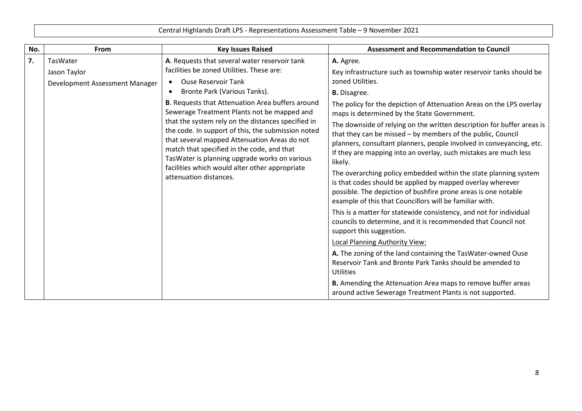| No. | From                           | <b>Key Issues Raised</b>                                                                                                                                                                                                                                                                                                                                                                                                                                                                   | <b>Assessment and Recommendation to Council</b>                                                                                                                                                                                                                                              |
|-----|--------------------------------|--------------------------------------------------------------------------------------------------------------------------------------------------------------------------------------------------------------------------------------------------------------------------------------------------------------------------------------------------------------------------------------------------------------------------------------------------------------------------------------------|----------------------------------------------------------------------------------------------------------------------------------------------------------------------------------------------------------------------------------------------------------------------------------------------|
| 7.  | TasWater<br>Jason Taylor       | A. Requests that several water reservoir tank<br>facilities be zoned Utilities. These are:                                                                                                                                                                                                                                                                                                                                                                                                 | A. Agree.<br>Key infrastructure such as township water reservoir tanks should be                                                                                                                                                                                                             |
|     | Development Assessment Manager | <b>Ouse Reservoir Tank</b>                                                                                                                                                                                                                                                                                                                                                                                                                                                                 | zoned Utilities.                                                                                                                                                                                                                                                                             |
|     |                                | Bronte Park (Various Tanks).<br>$\bullet$<br><b>B.</b> Requests that Attenuation Area buffers around<br>Sewerage Treatment Plants not be mapped and<br>that the system rely on the distances specified in<br>the code. In support of this, the submission noted<br>that several mapped Attenuation Areas do not<br>match that specified in the code, and that<br>TasWater is planning upgrade works on various<br>facilities which would alter other appropriate<br>attenuation distances. | <b>B.</b> Disagree.                                                                                                                                                                                                                                                                          |
|     |                                |                                                                                                                                                                                                                                                                                                                                                                                                                                                                                            | The policy for the depiction of Attenuation Areas on the LPS overlay<br>maps is determined by the State Government.                                                                                                                                                                          |
|     |                                |                                                                                                                                                                                                                                                                                                                                                                                                                                                                                            | The downside of relying on the written description for buffer areas is<br>that they can be missed - by members of the public, Council<br>planners, consultant planners, people involved in conveyancing, etc.<br>If they are mapping into an overlay, such mistakes are much less<br>likely. |
|     |                                |                                                                                                                                                                                                                                                                                                                                                                                                                                                                                            | The overarching policy embedded within the state planning system<br>is that codes should be applied by mapped overlay wherever<br>possible. The depiction of bushfire prone areas is one notable<br>example of this that Councillors will be familiar with.                                  |
|     |                                |                                                                                                                                                                                                                                                                                                                                                                                                                                                                                            | This is a matter for statewide consistency, and not for individual<br>councils to determine, and it is recommended that Council not<br>support this suggestion.                                                                                                                              |
|     |                                |                                                                                                                                                                                                                                                                                                                                                                                                                                                                                            | <b>Local Planning Authority View:</b>                                                                                                                                                                                                                                                        |
|     |                                |                                                                                                                                                                                                                                                                                                                                                                                                                                                                                            | A. The zoning of the land containing the TasWater-owned Ouse<br>Reservoir Tank and Bronte Park Tanks should be amended to<br><b>Utilities</b>                                                                                                                                                |
|     |                                |                                                                                                                                                                                                                                                                                                                                                                                                                                                                                            | B. Amending the Attenuation Area maps to remove buffer areas<br>around active Sewerage Treatment Plants is not supported.                                                                                                                                                                    |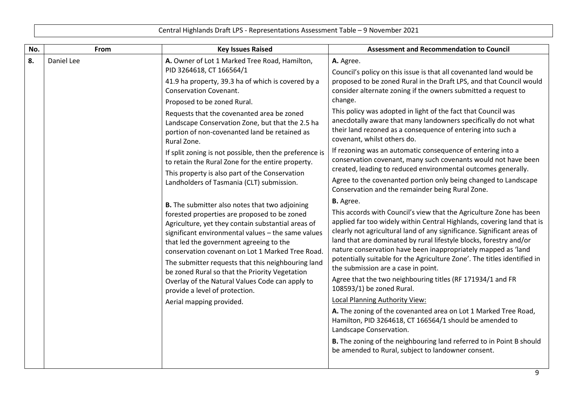|     | Central Highlands Draft LPS - Representations Assessment Table - 9 November 2021 |                                                                                                                                                                                                                                                                                                                                                                                                                                                                                                                                                                                                                                                                                                                                                                                                                                                                                                                                                                                                                                                                                                                        |                                                                                                                                                                                                                                                                                                                                                                                                                                                                                                                                                                                                                                                                                                                                                                                                                                                                                                                                                                                                                                                                                                                                                                                                                                                                                                                                                                                                                                                                                                                                                                                                        |  |
|-----|----------------------------------------------------------------------------------|------------------------------------------------------------------------------------------------------------------------------------------------------------------------------------------------------------------------------------------------------------------------------------------------------------------------------------------------------------------------------------------------------------------------------------------------------------------------------------------------------------------------------------------------------------------------------------------------------------------------------------------------------------------------------------------------------------------------------------------------------------------------------------------------------------------------------------------------------------------------------------------------------------------------------------------------------------------------------------------------------------------------------------------------------------------------------------------------------------------------|--------------------------------------------------------------------------------------------------------------------------------------------------------------------------------------------------------------------------------------------------------------------------------------------------------------------------------------------------------------------------------------------------------------------------------------------------------------------------------------------------------------------------------------------------------------------------------------------------------------------------------------------------------------------------------------------------------------------------------------------------------------------------------------------------------------------------------------------------------------------------------------------------------------------------------------------------------------------------------------------------------------------------------------------------------------------------------------------------------------------------------------------------------------------------------------------------------------------------------------------------------------------------------------------------------------------------------------------------------------------------------------------------------------------------------------------------------------------------------------------------------------------------------------------------------------------------------------------------------|--|
| No. | From                                                                             | <b>Key Issues Raised</b>                                                                                                                                                                                                                                                                                                                                                                                                                                                                                                                                                                                                                                                                                                                                                                                                                                                                                                                                                                                                                                                                                               | <b>Assessment and Recommendation to Council</b>                                                                                                                                                                                                                                                                                                                                                                                                                                                                                                                                                                                                                                                                                                                                                                                                                                                                                                                                                                                                                                                                                                                                                                                                                                                                                                                                                                                                                                                                                                                                                        |  |
| 8.  | Daniel Lee                                                                       | A. Owner of Lot 1 Marked Tree Road, Hamilton,<br>PID 3264618, CT 166564/1<br>41.9 ha property, 39.3 ha of which is covered by a<br><b>Conservation Covenant.</b><br>Proposed to be zoned Rural.<br>Requests that the covenanted area be zoned<br>Landscape Conservation Zone, but that the 2.5 ha<br>portion of non-covenanted land be retained as<br>Rural Zone.<br>If split zoning is not possible, then the preference is<br>to retain the Rural Zone for the entire property.<br>This property is also part of the Conservation<br>Landholders of Tasmania (CLT) submission.<br>B. The submitter also notes that two adjoining<br>forested properties are proposed to be zoned<br>Agriculture, yet they contain substantial areas of<br>significant environmental values - the same values<br>that led the government agreeing to the<br>conservation covenant on Lot 1 Marked Tree Road.<br>The submitter requests that this neighbouring land<br>be zoned Rural so that the Priority Vegetation<br>Overlay of the Natural Values Code can apply to<br>provide a level of protection.<br>Aerial mapping provided. | A. Agree.<br>Council's policy on this issue is that all covenanted land would be<br>proposed to be zoned Rural in the Draft LPS, and that Council would<br>consider alternate zoning if the owners submitted a request to<br>change.<br>This policy was adopted in light of the fact that Council was<br>anecdotally aware that many landowners specifically do not what<br>their land rezoned as a consequence of entering into such a<br>covenant, whilst others do.<br>If rezoning was an automatic consequence of entering into a<br>conservation covenant, many such covenants would not have been<br>created, leading to reduced environmental outcomes generally.<br>Agree to the covenanted portion only being changed to Landscape<br>Conservation and the remainder being Rural Zone.<br><b>B.</b> Agree.<br>This accords with Council's view that the Agriculture Zone has been<br>applied far too widely within Central Highlands, covering land that is<br>clearly not agricultural land of any significance. Significant areas of<br>land that are dominated by rural lifestyle blocks, forestry and/or<br>nature conservation have been inappropriately mapped as 'land<br>potentially suitable for the Agriculture Zone'. The titles identified in<br>the submission are a case in point.<br>Agree that the two neighbouring titles (RF 171934/1 and FR<br>108593/1) be zoned Rural.<br><b>Local Planning Authority View:</b><br>A. The zoning of the covenanted area on Lot 1 Marked Tree Road,<br>Hamilton, PID 3264618, CT 166564/1 should be amended to<br>Landscape Conservation. |  |
|     |                                                                                  |                                                                                                                                                                                                                                                                                                                                                                                                                                                                                                                                                                                                                                                                                                                                                                                                                                                                                                                                                                                                                                                                                                                        | B. The zoning of the neighbouring land referred to in Point B should<br>be amended to Rural, subject to landowner consent.                                                                                                                                                                                                                                                                                                                                                                                                                                                                                                                                                                                                                                                                                                                                                                                                                                                                                                                                                                                                                                                                                                                                                                                                                                                                                                                                                                                                                                                                             |  |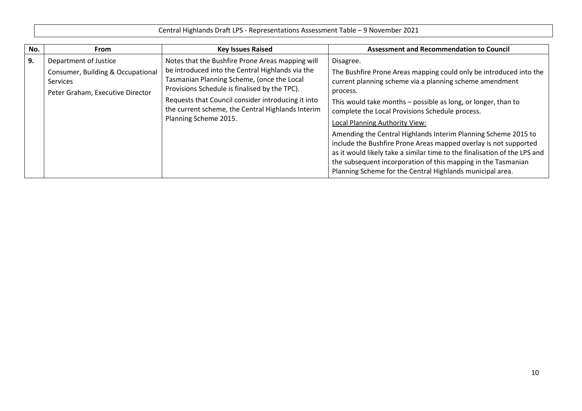| Central Highlands Draft LPS - Representations Assessment Table - 9 November 2021 |
|----------------------------------------------------------------------------------|
|----------------------------------------------------------------------------------|

| No. | <b>From</b>                                                                                                | <b>Key Issues Raised</b>                                                                                                                                                                                                                                                                                                                | <b>Assessment and Recommendation to Council</b>                                                                                                                                                                                                                                                                                                                                                                                                    |
|-----|------------------------------------------------------------------------------------------------------------|-----------------------------------------------------------------------------------------------------------------------------------------------------------------------------------------------------------------------------------------------------------------------------------------------------------------------------------------|----------------------------------------------------------------------------------------------------------------------------------------------------------------------------------------------------------------------------------------------------------------------------------------------------------------------------------------------------------------------------------------------------------------------------------------------------|
| 9.  | Department of Justice<br>Consumer, Building & Occupational<br>Services<br>Peter Graham, Executive Director | Notes that the Bushfire Prone Areas mapping will<br>be introduced into the Central Highlands via the<br>Tasmanian Planning Scheme, (once the Local<br>Provisions Schedule is finalised by the TPC).<br>Requests that Council consider introducing it into<br>the current scheme, the Central Highlands Interim<br>Planning Scheme 2015. | Disagree.<br>The Bushfire Prone Areas mapping could only be introduced into the<br>current planning scheme via a planning scheme amendment<br>process.<br>This would take months - possible as long, or longer, than to<br>complete the Local Provisions Schedule process.<br>Local Planning Authority View:<br>Amending the Central Highlands Interim Planning Scheme 2015 to<br>include the Bushfire Prone Areas mapped overlay is not supported |
|     |                                                                                                            |                                                                                                                                                                                                                                                                                                                                         | as it would likely take a similar time to the finalisation of the LPS and<br>the subsequent incorporation of this mapping in the Tasmanian<br>Planning Scheme for the Central Highlands municipal area.                                                                                                                                                                                                                                            |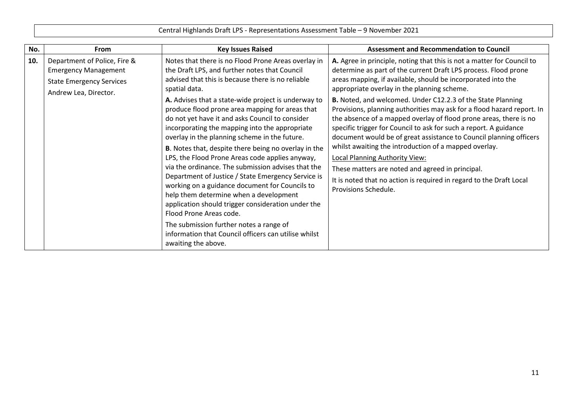| No. | <b>From</b>                                                                                                             | <b>Key Issues Raised</b>                                                                                                                                                                                                                                                                                                                                                                                                                                                                                                   | <b>Assessment and Recommendation to Council</b>                                                                                                                                                                                                                                                                                                                                                                                                                                                                                                                                                                   |
|-----|-------------------------------------------------------------------------------------------------------------------------|----------------------------------------------------------------------------------------------------------------------------------------------------------------------------------------------------------------------------------------------------------------------------------------------------------------------------------------------------------------------------------------------------------------------------------------------------------------------------------------------------------------------------|-------------------------------------------------------------------------------------------------------------------------------------------------------------------------------------------------------------------------------------------------------------------------------------------------------------------------------------------------------------------------------------------------------------------------------------------------------------------------------------------------------------------------------------------------------------------------------------------------------------------|
| 10. | Department of Police, Fire &<br><b>Emergency Management</b><br><b>State Emergency Services</b><br>Andrew Lea, Director. | Notes that there is no Flood Prone Areas overlay in<br>the Draft LPS, and further notes that Council<br>advised that this is because there is no reliable<br>spatial data.<br>A. Advises that a state-wide project is underway to<br>produce flood prone area mapping for areas that<br>do not yet have it and asks Council to consider<br>incorporating the mapping into the appropriate<br>overlay in the planning scheme in the future.                                                                                 | A. Agree in principle, noting that this is not a matter for Council to<br>determine as part of the current Draft LPS process. Flood prone<br>areas mapping, if available, should be incorporated into the<br>appropriate overlay in the planning scheme.<br>B. Noted, and welcomed. Under C12.2.3 of the State Planning<br>Provisions, planning authorities may ask for a flood hazard report. In<br>the absence of a mapped overlay of flood prone areas, there is no<br>specific trigger for Council to ask for such a report. A guidance<br>document would be of great assistance to Council planning officers |
|     |                                                                                                                         | B. Notes that, despite there being no overlay in the<br>LPS, the Flood Prone Areas code applies anyway,<br>via the ordinance. The submission advises that the<br>Department of Justice / State Emergency Service is<br>working on a guidance document for Councils to<br>help them determine when a development<br>application should trigger consideration under the<br>Flood Prone Areas code.<br>The submission further notes a range of<br>information that Council officers can utilise whilst<br>awaiting the above. | whilst awaiting the introduction of a mapped overlay.<br>Local Planning Authority View:<br>These matters are noted and agreed in principal.<br>It is noted that no action is required in regard to the Draft Local<br>Provisions Schedule.                                                                                                                                                                                                                                                                                                                                                                        |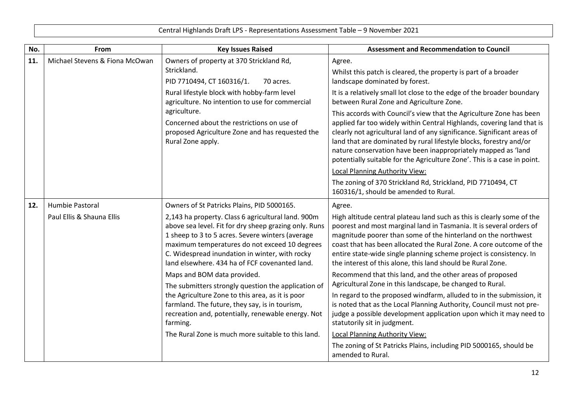| No. | From                                         | <b>Key Issues Raised</b>                                                                                                                                                                                                                                                                                                                                                                                                                                                                                                                                                                                                                                                               | <b>Assessment and Recommendation to Council</b>                                                                                                                                                                                                                                                                                                                                                                                                                                                                                                                                                                                                                                                                                                                                                                                                                                                                                                    |
|-----|----------------------------------------------|----------------------------------------------------------------------------------------------------------------------------------------------------------------------------------------------------------------------------------------------------------------------------------------------------------------------------------------------------------------------------------------------------------------------------------------------------------------------------------------------------------------------------------------------------------------------------------------------------------------------------------------------------------------------------------------|----------------------------------------------------------------------------------------------------------------------------------------------------------------------------------------------------------------------------------------------------------------------------------------------------------------------------------------------------------------------------------------------------------------------------------------------------------------------------------------------------------------------------------------------------------------------------------------------------------------------------------------------------------------------------------------------------------------------------------------------------------------------------------------------------------------------------------------------------------------------------------------------------------------------------------------------------|
| 11. | Michael Stevens & Fiona McOwan               | Owners of property at 370 Strickland Rd,<br>Strickland.<br>PID 7710494, CT 160316/1.<br>70 acres.<br>Rural lifestyle block with hobby-farm level<br>agriculture. No intention to use for commercial<br>agriculture.<br>Concerned about the restrictions on use of<br>proposed Agriculture Zone and has requested the<br>Rural Zone apply.                                                                                                                                                                                                                                                                                                                                              | Agree.<br>Whilst this patch is cleared, the property is part of a broader<br>landscape dominated by forest.<br>It is a relatively small lot close to the edge of the broader boundary<br>between Rural Zone and Agriculture Zone.<br>This accords with Council's view that the Agriculture Zone has been<br>applied far too widely within Central Highlands, covering land that is<br>clearly not agricultural land of any significance. Significant areas of<br>land that are dominated by rural lifestyle blocks, forestry and/or<br>nature conservation have been inappropriately mapped as 'land<br>potentially suitable for the Agriculture Zone'. This is a case in point.<br>Local Planning Authority View:<br>The zoning of 370 Strickland Rd, Strickland, PID 7710494, CT<br>160316/1, should be amended to Rural.                                                                                                                        |
| 12. | Humbie Pastoral<br>Paul Ellis & Shauna Ellis | Owners of St Patricks Plains, PID 5000165.<br>2,143 ha property. Class 6 agricultural land. 900m<br>above sea level. Fit for dry sheep grazing only. Runs<br>1 sheep to 3 to 5 acres. Severe winters (average<br>maximum temperatures do not exceed 10 degrees<br>C. Widespread inundation in winter, with rocky<br>land elsewhere. 434 ha of FCF covenanted land.<br>Maps and BOM data provided.<br>The submitters strongly question the application of<br>the Agriculture Zone to this area, as it is poor<br>farmland. The future, they say, is in tourism,<br>recreation and, potentially, renewable energy. Not<br>farming.<br>The Rural Zone is much more suitable to this land. | Agree.<br>High altitude central plateau land such as this is clearly some of the<br>poorest and most marginal land in Tasmania. It is several orders of<br>magnitude poorer than some of the hinterland on the northwest<br>coast that has been allocated the Rural Zone. A core outcome of the<br>entire state-wide single planning scheme project is consistency. In<br>the interest of this alone, this land should be Rural Zone.<br>Recommend that this land, and the other areas of proposed<br>Agricultural Zone in this landscape, be changed to Rural.<br>In regard to the proposed windfarm, alluded to in the submission, it<br>is noted that as the Local Planning Authority, Council must not pre-<br>judge a possible development application upon which it may need to<br>statutorily sit in judgment.<br>Local Planning Authority View:<br>The zoning of St Patricks Plains, including PID 5000165, should be<br>amended to Rural. |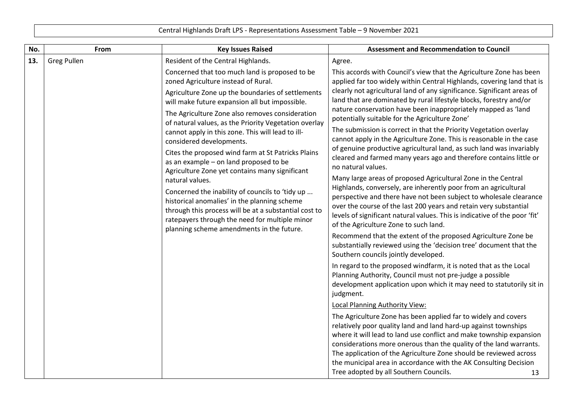| No.                                                                                   | From                                                                                                                                                                                                                                                                                                                                                                                                                                                                                                                                                                                                                                                                                                                             | <b>Key Issues Raised</b>                                                                                                                                                                                                                                                                                                                                                                                                                                                                                                                                                                                                                                                                                                                                                              | <b>Assessment and Recommendation to Council</b>                                                                                                                                                                                                                                                                                                                                                                                                                         |
|---------------------------------------------------------------------------------------|----------------------------------------------------------------------------------------------------------------------------------------------------------------------------------------------------------------------------------------------------------------------------------------------------------------------------------------------------------------------------------------------------------------------------------------------------------------------------------------------------------------------------------------------------------------------------------------------------------------------------------------------------------------------------------------------------------------------------------|---------------------------------------------------------------------------------------------------------------------------------------------------------------------------------------------------------------------------------------------------------------------------------------------------------------------------------------------------------------------------------------------------------------------------------------------------------------------------------------------------------------------------------------------------------------------------------------------------------------------------------------------------------------------------------------------------------------------------------------------------------------------------------------|-------------------------------------------------------------------------------------------------------------------------------------------------------------------------------------------------------------------------------------------------------------------------------------------------------------------------------------------------------------------------------------------------------------------------------------------------------------------------|
| 13.                                                                                   | <b>Greg Pullen</b>                                                                                                                                                                                                                                                                                                                                                                                                                                                                                                                                                                                                                                                                                                               | Resident of the Central Highlands.                                                                                                                                                                                                                                                                                                                                                                                                                                                                                                                                                                                                                                                                                                                                                    | Agree.                                                                                                                                                                                                                                                                                                                                                                                                                                                                  |
| Concerned that too much land is proposed to be<br>zoned Agriculture instead of Rural. | This accords with Council's view that the Agriculture Zone has been<br>applied far too widely within Central Highlands, covering land that is<br>clearly not agricultural land of any significance. Significant areas of                                                                                                                                                                                                                                                                                                                                                                                                                                                                                                         |                                                                                                                                                                                                                                                                                                                                                                                                                                                                                                                                                                                                                                                                                                                                                                                       |                                                                                                                                                                                                                                                                                                                                                                                                                                                                         |
|                                                                                       | Agriculture Zone up the boundaries of settlements<br>will make future expansion all but impossible.<br>The Agriculture Zone also removes consideration<br>of natural values, as the Priority Vegetation overlay<br>cannot apply in this zone. This will lead to ill-<br>considered developments.<br>Cites the proposed wind farm at St Patricks Plains<br>as an example - on land proposed to be<br>Agriculture Zone yet contains many significant<br>natural values.<br>Concerned the inability of councils to 'tidy up<br>historical anomalies' in the planning scheme<br>through this process will be at a substantial cost to<br>ratepayers through the need for multiple minor<br>planning scheme amendments in the future. | land that are dominated by rural lifestyle blocks, forestry and/or<br>nature conservation have been inappropriately mapped as 'land<br>potentially suitable for the Agriculture Zone'<br>The submission is correct in that the Priority Vegetation overlay<br>cannot apply in the Agriculture Zone. This is reasonable in the case<br>of genuine productive agricultural land, as such land was invariably<br>cleared and farmed many years ago and therefore contains little or<br>no natural values.<br>Many large areas of proposed Agricultural Zone in the Central<br>Highlands, conversely, are inherently poor from an agricultural<br>perspective and there have not been subject to wholesale clearance<br>over the course of the last 200 years and retain very substantial |                                                                                                                                                                                                                                                                                                                                                                                                                                                                         |
|                                                                                       |                                                                                                                                                                                                                                                                                                                                                                                                                                                                                                                                                                                                                                                                                                                                  |                                                                                                                                                                                                                                                                                                                                                                                                                                                                                                                                                                                                                                                                                                                                                                                       | levels of significant natural values. This is indicative of the poor 'fit'<br>of the Agriculture Zone to such land.<br>Recommend that the extent of the proposed Agriculture Zone be<br>substantially reviewed using the 'decision tree' document that the<br>Southern councils jointly developed.                                                                                                                                                                      |
|                                                                                       |                                                                                                                                                                                                                                                                                                                                                                                                                                                                                                                                                                                                                                                                                                                                  |                                                                                                                                                                                                                                                                                                                                                                                                                                                                                                                                                                                                                                                                                                                                                                                       | In regard to the proposed windfarm, it is noted that as the Local<br>Planning Authority, Council must not pre-judge a possible<br>development application upon which it may need to statutorily sit in<br>judgment.                                                                                                                                                                                                                                                     |
|                                                                                       |                                                                                                                                                                                                                                                                                                                                                                                                                                                                                                                                                                                                                                                                                                                                  |                                                                                                                                                                                                                                                                                                                                                                                                                                                                                                                                                                                                                                                                                                                                                                                       | Local Planning Authority View:                                                                                                                                                                                                                                                                                                                                                                                                                                          |
|                                                                                       |                                                                                                                                                                                                                                                                                                                                                                                                                                                                                                                                                                                                                                                                                                                                  |                                                                                                                                                                                                                                                                                                                                                                                                                                                                                                                                                                                                                                                                                                                                                                                       | The Agriculture Zone has been applied far to widely and covers<br>relatively poor quality land and land hard-up against townships<br>where it will lead to land use conflict and make township expansion<br>considerations more onerous than the quality of the land warrants.<br>The application of the Agriculture Zone should be reviewed across<br>the municipal area in accordance with the AK Consulting Decision<br>Tree adopted by all Southern Councils.<br>13 |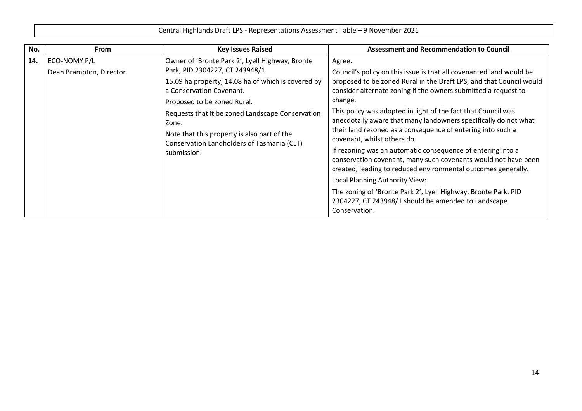| No. | <b>From</b>                              | <b>Key Issues Raised</b>                                                                                                                                                                                                                                                                                                                                                    | <b>Assessment and Recommendation to Council</b>                                                                                                                                                                                                                                                                                                                                                                                                                                                                                                                                                                                                                                                                                                                                                                                                   |  |  |
|-----|------------------------------------------|-----------------------------------------------------------------------------------------------------------------------------------------------------------------------------------------------------------------------------------------------------------------------------------------------------------------------------------------------------------------------------|---------------------------------------------------------------------------------------------------------------------------------------------------------------------------------------------------------------------------------------------------------------------------------------------------------------------------------------------------------------------------------------------------------------------------------------------------------------------------------------------------------------------------------------------------------------------------------------------------------------------------------------------------------------------------------------------------------------------------------------------------------------------------------------------------------------------------------------------------|--|--|
| 14. | ECO-NOMY P/L<br>Dean Brampton, Director. | Owner of 'Bronte Park 2', Lyell Highway, Bronte<br>Park, PID 2304227, CT 243948/1<br>15.09 ha property, 14.08 ha of which is covered by<br>a Conservation Covenant.<br>Proposed to be zoned Rural.<br>Requests that it be zoned Landscape Conservation<br>Zone.<br>Note that this property is also part of the<br>Conservation Landholders of Tasmania (CLT)<br>submission. | Agree.<br>Council's policy on this issue is that all covenanted land would be<br>proposed to be zoned Rural in the Draft LPS, and that Council would<br>consider alternate zoning if the owners submitted a request to<br>change.<br>This policy was adopted in light of the fact that Council was<br>anecdotally aware that many landowners specifically do not what<br>their land rezoned as a consequence of entering into such a<br>covenant, whilst others do.<br>If rezoning was an automatic consequence of entering into a<br>conservation covenant, many such covenants would not have been<br>created, leading to reduced environmental outcomes generally.<br>Local Planning Authority View:<br>The zoning of 'Bronte Park 2', Lyell Highway, Bronte Park, PID<br>2304227, CT 243948/1 should be amended to Landscape<br>Conservation. |  |  |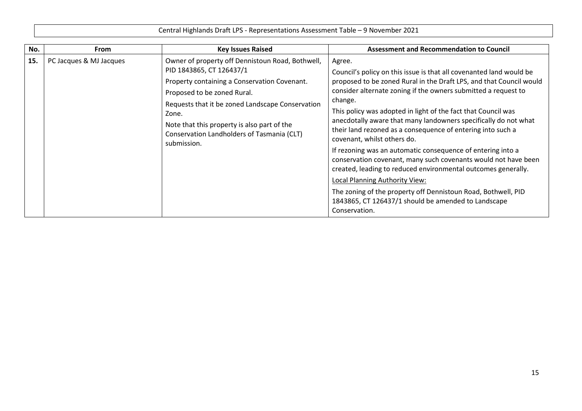Central Highlands Draft LPS - Representations Assessment Table – 9 November 2021 **No. From Key Issues Raised Assessment and Recommendation to Council 15.** PC Jacques & MJ Jacques **Denotively** Owner of property off Dennistoun Road, Bothwell, PID 1843865, CT 126437/1 Property containing a Conservation Covenant. Proposed to be zoned Rural. Requests that it be zoned Landscape Conservation Zone. Note that this property is also part of the Conservation Landholders of Tasmania (CLT) submission. Agree. Council's policy on this issue is that all covenanted land would be proposed to be zoned Rural in the Draft LPS, and that Council would consider alternate zoning if the owners submitted a request to change. This policy was adopted in light of the fact that Council was anecdotally aware that many landowners specifically do not what their land rezoned as a consequence of entering into such a covenant, whilst others do. If rezoning was an automatic consequence of entering into a conservation covenant, many such covenants would not have been created, leading to reduced environmental outcomes generally. Local Planning Authority View: The zoning of the property off Dennistoun Road, Bothwell, PID 1843865, CT 126437/1 should be amended to Landscape Conservation.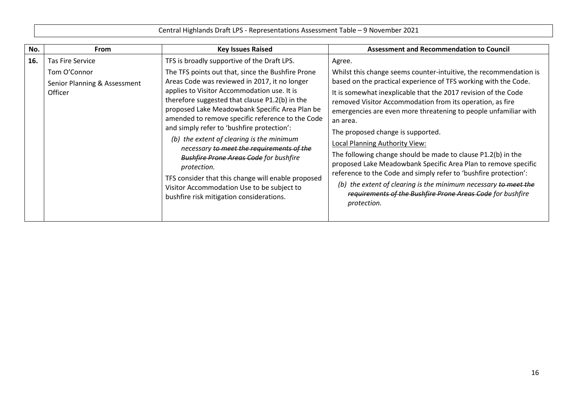| No. | From                                                                               | <b>Key Issues Raised</b>                                                                                                                                                                                                                                                                                                                                                                                                                                                                                                                                                                                                                                                                                         | <b>Assessment and Recommendation to Council</b>                                                                                                                                                                                                                                                                                                                                                                                                                                                                                                                                                                                                                                                                                                                                           |
|-----|------------------------------------------------------------------------------------|------------------------------------------------------------------------------------------------------------------------------------------------------------------------------------------------------------------------------------------------------------------------------------------------------------------------------------------------------------------------------------------------------------------------------------------------------------------------------------------------------------------------------------------------------------------------------------------------------------------------------------------------------------------------------------------------------------------|-------------------------------------------------------------------------------------------------------------------------------------------------------------------------------------------------------------------------------------------------------------------------------------------------------------------------------------------------------------------------------------------------------------------------------------------------------------------------------------------------------------------------------------------------------------------------------------------------------------------------------------------------------------------------------------------------------------------------------------------------------------------------------------------|
| 16. | <b>Tas Fire Service</b><br>Tom O'Connor<br>Senior Planning & Assessment<br>Officer | TFS is broadly supportive of the Draft LPS.<br>The TFS points out that, since the Bushfire Prone<br>Areas Code was reviewed in 2017, it no longer<br>applies to Visitor Accommodation use. It is<br>therefore suggested that clause P1.2(b) in the<br>proposed Lake Meadowbank Specific Area Plan be<br>amended to remove specific reference to the Code<br>and simply refer to 'bushfire protection':<br>(b) the extent of clearing is the minimum<br>necessary to meet the requirements of the<br><b>Bushfire Prone Areas Code for bushfire</b><br>protection.<br>TFS consider that this change will enable proposed<br>Visitor Accommodation Use to be subject to<br>bushfire risk mitigation considerations. | Agree.<br>Whilst this change seems counter-intuitive, the recommendation is<br>based on the practical experience of TFS working with the Code.<br>It is somewhat inexplicable that the 2017 revision of the Code<br>removed Visitor Accommodation from its operation, as fire<br>emergencies are even more threatening to people unfamiliar with<br>an area.<br>The proposed change is supported.<br>Local Planning Authority View:<br>The following change should be made to clause P1.2(b) in the<br>proposed Lake Meadowbank Specific Area Plan to remove specific<br>reference to the Code and simply refer to 'bushfire protection':<br>(b) the extent of clearing is the minimum necessary to meet the<br>requirements of the Bushfire Prone Areas Code for bushfire<br>protection. |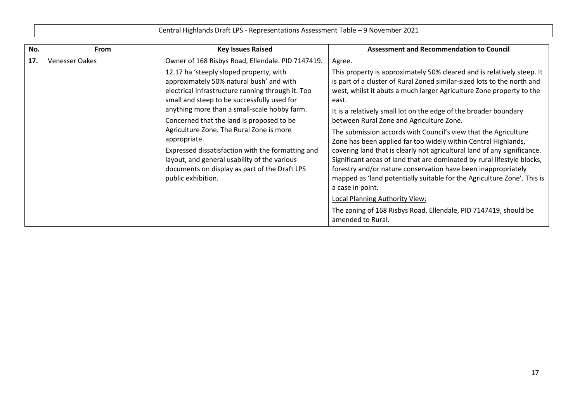|     | Central Highlands Draft LPS - Representations Assessment Table - 9 November 2021 |                                                                                                                                                                                                                                                                                                                                                                                                                                                                                                                                                                                   |                                                                                                                                                                                                                                                                                                                                                                                                                                                                                                                                                                                                                                                                                                                                                                                                                                                                                                                                                     |
|-----|----------------------------------------------------------------------------------|-----------------------------------------------------------------------------------------------------------------------------------------------------------------------------------------------------------------------------------------------------------------------------------------------------------------------------------------------------------------------------------------------------------------------------------------------------------------------------------------------------------------------------------------------------------------------------------|-----------------------------------------------------------------------------------------------------------------------------------------------------------------------------------------------------------------------------------------------------------------------------------------------------------------------------------------------------------------------------------------------------------------------------------------------------------------------------------------------------------------------------------------------------------------------------------------------------------------------------------------------------------------------------------------------------------------------------------------------------------------------------------------------------------------------------------------------------------------------------------------------------------------------------------------------------|
| No. | From                                                                             | <b>Key Issues Raised</b>                                                                                                                                                                                                                                                                                                                                                                                                                                                                                                                                                          | <b>Assessment and Recommendation to Council</b>                                                                                                                                                                                                                                                                                                                                                                                                                                                                                                                                                                                                                                                                                                                                                                                                                                                                                                     |
| 17. | <b>Venesser Oakes</b>                                                            | Owner of 168 Risbys Road, Ellendale. PID 7147419.<br>12.17 ha 'steeply sloped property, with<br>approximately 50% natural bush' and with<br>electrical infrastructure running through it. Too<br>small and steep to be successfully used for<br>anything more than a small-scale hobby farm.<br>Concerned that the land is proposed to be<br>Agriculture Zone. The Rural Zone is more<br>appropriate.<br>Expressed dissatisfaction with the formatting and<br>layout, and general usability of the various<br>documents on display as part of the Draft LPS<br>public exhibition. | Agree.<br>This property is approximately 50% cleared and is relatively steep. It<br>is part of a cluster of Rural Zoned similar-sized lots to the north and<br>west, whilst it abuts a much larger Agriculture Zone property to the<br>east.<br>It is a relatively small lot on the edge of the broader boundary<br>between Rural Zone and Agriculture Zone.<br>The submission accords with Council's view that the Agriculture<br>Zone has been applied far too widely within Central Highlands,<br>covering land that is clearly not agricultural land of any significance.<br>Significant areas of land that are dominated by rural lifestyle blocks,<br>forestry and/or nature conservation have been inappropriately<br>mapped as 'land potentially suitable for the Agriculture Zone'. This is<br>a case in point.<br>Local Planning Authority View:<br>The zoning of 168 Risbys Road, Ellendale, PID 7147419, should be<br>amended to Rural. |

 $\blacksquare$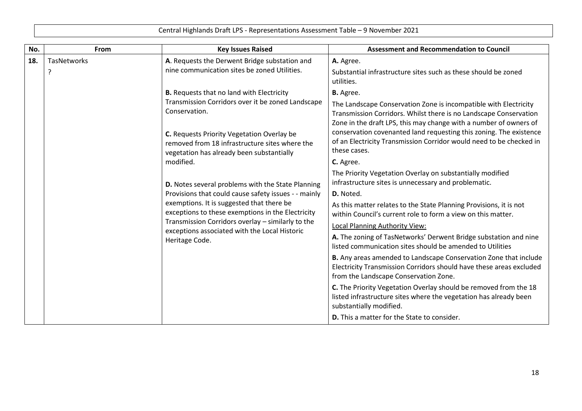| No. | From               | <b>Key Issues Raised</b>                                                                                                                                                                                                                                                                                                                                                                                                                                                                                                                                                                                                | <b>Assessment and Recommendation to Council</b>                                                                                                                                                                                                                                                                                                                                                                                                                                                                                                                                                                                                                                                                                                                                                                                                                                                                                                                                                                                                                                                                                                                                  |
|-----|--------------------|-------------------------------------------------------------------------------------------------------------------------------------------------------------------------------------------------------------------------------------------------------------------------------------------------------------------------------------------------------------------------------------------------------------------------------------------------------------------------------------------------------------------------------------------------------------------------------------------------------------------------|----------------------------------------------------------------------------------------------------------------------------------------------------------------------------------------------------------------------------------------------------------------------------------------------------------------------------------------------------------------------------------------------------------------------------------------------------------------------------------------------------------------------------------------------------------------------------------------------------------------------------------------------------------------------------------------------------------------------------------------------------------------------------------------------------------------------------------------------------------------------------------------------------------------------------------------------------------------------------------------------------------------------------------------------------------------------------------------------------------------------------------------------------------------------------------|
| 18. | <b>TasNetworks</b> | A. Requests the Derwent Bridge substation and<br>nine communication sites be zoned Utilities.                                                                                                                                                                                                                                                                                                                                                                                                                                                                                                                           | A. Agree.<br>Substantial infrastructure sites such as these should be zoned<br>utilities.                                                                                                                                                                                                                                                                                                                                                                                                                                                                                                                                                                                                                                                                                                                                                                                                                                                                                                                                                                                                                                                                                        |
|     |                    | <b>B.</b> Requests that no land with Electricity<br>Transmission Corridors over it be zoned Landscape<br>Conservation.<br>C. Requests Priority Vegetation Overlay be<br>removed from 18 infrastructure sites where the<br>vegetation has already been substantially<br>modified.<br>D. Notes several problems with the State Planning<br>Provisions that could cause safety issues - - mainly<br>exemptions. It is suggested that there be<br>exceptions to these exemptions in the Electricity<br>Transmission Corridors overlay - similarly to the<br>exceptions associated with the Local Historic<br>Heritage Code. | <b>B.</b> Agree.<br>The Landscape Conservation Zone is incompatible with Electricity<br>Transmission Corridors. Whilst there is no Landscape Conservation<br>Zone in the draft LPS, this may change with a number of owners of<br>conservation covenanted land requesting this zoning. The existence<br>of an Electricity Transmission Corridor would need to be checked in<br>these cases.<br>C. Agree.<br>The Priority Vegetation Overlay on substantially modified<br>infrastructure sites is unnecessary and problematic.<br>D. Noted.<br>As this matter relates to the State Planning Provisions, it is not<br>within Council's current role to form a view on this matter.<br>Local Planning Authority View:<br>A. The zoning of TasNetworks' Derwent Bridge substation and nine<br>listed communication sites should be amended to Utilities<br>B. Any areas amended to Landscape Conservation Zone that include<br>Electricity Transmission Corridors should have these areas excluded<br>from the Landscape Conservation Zone.<br>C. The Priority Vegetation Overlay should be removed from the 18<br>listed infrastructure sites where the vegetation has already been |
|     |                    |                                                                                                                                                                                                                                                                                                                                                                                                                                                                                                                                                                                                                         | substantially modified.<br><b>D.</b> This a matter for the State to consider.                                                                                                                                                                                                                                                                                                                                                                                                                                                                                                                                                                                                                                                                                                                                                                                                                                                                                                                                                                                                                                                                                                    |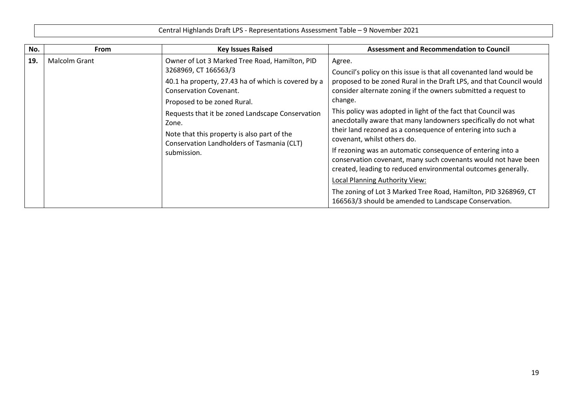Central Highlands Draft LPS - Representations Assessment Table – 9 November 2021 **No. From Key Issues Raised Assessment and Recommendation to Council 19.** Malcolm Grant Owner of Lot 3 Marked Tree Road, Hamilton, PID 3268969, CT 166563/3 40.1 ha property, 27.43 ha of which is covered by a Conservation Covenant. Proposed to be zoned Rural. Requests that it be zoned Landscape Conservation Zone. Note that this property is also part of the Conservation Landholders of Tasmania (CLT) submission. Agree. Council's policy on this issue is that all covenanted land would be proposed to be zoned Rural in the Draft LPS, and that Council would consider alternate zoning if the owners submitted a request to change. This policy was adopted in light of the fact that Council was anecdotally aware that many landowners specifically do not what their land rezoned as a consequence of entering into such a covenant, whilst others do. If rezoning was an automatic consequence of entering into a conservation covenant, many such covenants would not have been created, leading to reduced environmental outcomes generally. Local Planning Authority View: The zoning of Lot 3 Marked Tree Road, Hamilton, PID 3268969, CT 166563/3 should be amended to Landscape Conservation.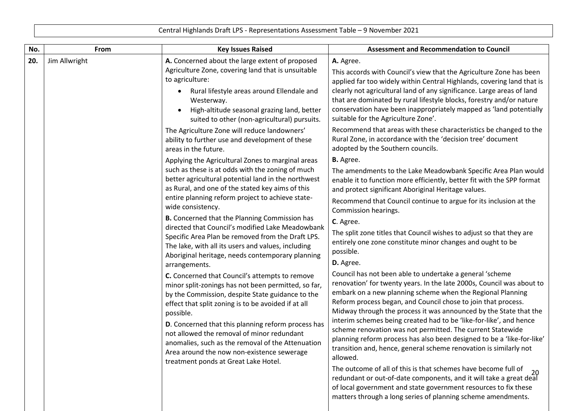| No. | From          | <b>Key Issues Raised</b>                                                                                                                                                                                                                                                                                                                                                                                                                                                     | <b>Assessment and Recommendation to Council</b>                                                                                                                                                                                                                                                                                                                                                                                                                                                                                                                                                                                      |
|-----|---------------|------------------------------------------------------------------------------------------------------------------------------------------------------------------------------------------------------------------------------------------------------------------------------------------------------------------------------------------------------------------------------------------------------------------------------------------------------------------------------|--------------------------------------------------------------------------------------------------------------------------------------------------------------------------------------------------------------------------------------------------------------------------------------------------------------------------------------------------------------------------------------------------------------------------------------------------------------------------------------------------------------------------------------------------------------------------------------------------------------------------------------|
| 20. | Jim Allwright | A. Concerned about the large extent of proposed<br>Agriculture Zone, covering land that is unsuitable<br>to agriculture:<br>Rural lifestyle areas around Ellendale and<br>$\bullet$<br>Westerway.<br>High-altitude seasonal grazing land, better<br>suited to other (non-agricultural) pursuits.                                                                                                                                                                             | A. Agree.<br>This accords with Council's view that the Agriculture Zone has been<br>applied far too widely within Central Highlands, covering land that is<br>clearly not agricultural land of any significance. Large areas of land<br>that are dominated by rural lifestyle blocks, forestry and/or nature<br>conservation have been inappropriately mapped as 'land potentially<br>suitable for the Agriculture Zone'.                                                                                                                                                                                                            |
|     |               | The Agriculture Zone will reduce landowners'<br>ability to further use and development of these<br>areas in the future.                                                                                                                                                                                                                                                                                                                                                      | Recommend that areas with these characteristics be changed to the<br>Rural Zone, in accordance with the 'decision tree' document<br>adopted by the Southern councils.                                                                                                                                                                                                                                                                                                                                                                                                                                                                |
|     |               | Applying the Agricultural Zones to marginal areas                                                                                                                                                                                                                                                                                                                                                                                                                            | <b>B.</b> Agree.                                                                                                                                                                                                                                                                                                                                                                                                                                                                                                                                                                                                                     |
|     |               | such as these is at odds with the zoning of much<br>better agricultural potential land in the northwest<br>as Rural, and one of the stated key aims of this<br>entire planning reform project to achieve state-<br>wide consistency.<br>B. Concerned that the Planning Commission has                                                                                                                                                                                        | The amendments to the Lake Meadowbank Specific Area Plan would<br>enable it to function more efficiently, better fit with the SPP format<br>and protect significant Aboriginal Heritage values.                                                                                                                                                                                                                                                                                                                                                                                                                                      |
|     |               |                                                                                                                                                                                                                                                                                                                                                                                                                                                                              | Recommend that Council continue to argue for its inclusion at the<br>Commission hearings.                                                                                                                                                                                                                                                                                                                                                                                                                                                                                                                                            |
|     |               | directed that Council's modified Lake Meadowbank<br>Specific Area Plan be removed from the Draft LPS.<br>The lake, with all its users and values, including<br>Aboriginal heritage, needs contemporary planning<br>arrangements.                                                                                                                                                                                                                                             | C. Agree.<br>The split zone titles that Council wishes to adjust so that they are<br>entirely one zone constitute minor changes and ought to be<br>possible.<br>D. Agree.                                                                                                                                                                                                                                                                                                                                                                                                                                                            |
|     |               | C. Concerned that Council's attempts to remove<br>minor split-zonings has not been permitted, so far,<br>by the Commission, despite State guidance to the<br>effect that split zoning is to be avoided if at all<br>possible.<br>D. Concerned that this planning reform process has<br>not allowed the removal of minor redundant<br>anomalies, such as the removal of the Attenuation<br>Area around the now non-existence sewerage<br>treatment ponds at Great Lake Hotel. | Council has not been able to undertake a general 'scheme<br>renovation' for twenty years. In the late 2000s, Council was about to<br>embark on a new planning scheme when the Regional Planning<br>Reform process began, and Council chose to join that process.<br>Midway through the process it was announced by the State that the<br>interim schemes being created had to be 'like-for-like', and hence<br>scheme renovation was not permitted. The current Statewide<br>planning reform process has also been designed to be a 'like-for-like'<br>transition and, hence, general scheme renovation is similarly not<br>allowed. |
|     |               |                                                                                                                                                                                                                                                                                                                                                                                                                                                                              | The outcome of all of this is that schemes have become full of<br>20<br>redundant or out-of-date components, and it will take a great deal<br>of local government and state government resources to fix these<br>matters through a long series of planning scheme amendments.                                                                                                                                                                                                                                                                                                                                                        |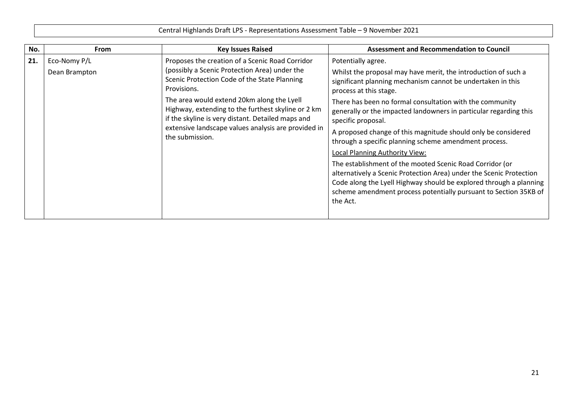| No. | <b>From</b>                   | <b>Key Issues Raised</b>                                                                                                                                                                                                                                                                                                                                                                           | <b>Assessment and Recommendation to Council</b>                                                                                                                                                                                                                                                                                                                                                                                                                                                                                                                                                                                                                                                                                                                                           |
|-----|-------------------------------|----------------------------------------------------------------------------------------------------------------------------------------------------------------------------------------------------------------------------------------------------------------------------------------------------------------------------------------------------------------------------------------------------|-------------------------------------------------------------------------------------------------------------------------------------------------------------------------------------------------------------------------------------------------------------------------------------------------------------------------------------------------------------------------------------------------------------------------------------------------------------------------------------------------------------------------------------------------------------------------------------------------------------------------------------------------------------------------------------------------------------------------------------------------------------------------------------------|
| 21. | Eco-Nomy P/L<br>Dean Brampton | Proposes the creation of a Scenic Road Corridor<br>(possibly a Scenic Protection Area) under the<br>Scenic Protection Code of the State Planning<br>Provisions.<br>The area would extend 20km along the Lyell<br>Highway, extending to the furthest skyline or 2 km<br>if the skyline is very distant. Detailed maps and<br>extensive landscape values analysis are provided in<br>the submission. | Potentially agree.<br>Whilst the proposal may have merit, the introduction of such a<br>significant planning mechanism cannot be undertaken in this<br>process at this stage.<br>There has been no formal consultation with the community<br>generally or the impacted landowners in particular regarding this<br>specific proposal.<br>A proposed change of this magnitude should only be considered<br>through a specific planning scheme amendment process.<br>Local Planning Authority View:<br>The establishment of the mooted Scenic Road Corridor (or<br>alternatively a Scenic Protection Area) under the Scenic Protection<br>Code along the Lyell Highway should be explored through a planning<br>scheme amendment process potentially pursuant to Section 35KB of<br>the Act. |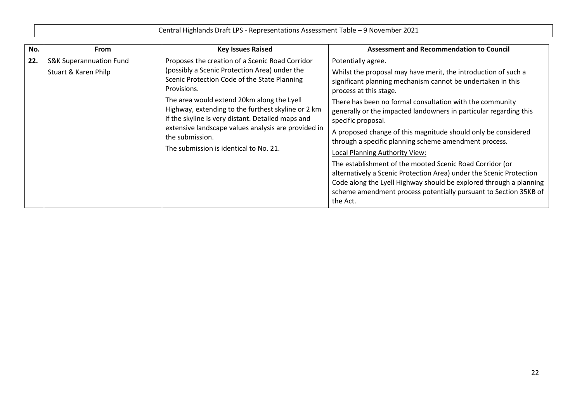|     | Central Highlands Draft LPS - Representations Assessment Table - 9 November 2021 |                                                                                                                                                                                                                                                                                                                                                                                                                                              |                                                                                                                                                                                                                                                                                                                                                                                                                                                                                                                                                                                                                                                                                                                                                                                           |  |
|-----|----------------------------------------------------------------------------------|----------------------------------------------------------------------------------------------------------------------------------------------------------------------------------------------------------------------------------------------------------------------------------------------------------------------------------------------------------------------------------------------------------------------------------------------|-------------------------------------------------------------------------------------------------------------------------------------------------------------------------------------------------------------------------------------------------------------------------------------------------------------------------------------------------------------------------------------------------------------------------------------------------------------------------------------------------------------------------------------------------------------------------------------------------------------------------------------------------------------------------------------------------------------------------------------------------------------------------------------------|--|
| No. | <b>From</b>                                                                      | <b>Key Issues Raised</b>                                                                                                                                                                                                                                                                                                                                                                                                                     | <b>Assessment and Recommendation to Council</b>                                                                                                                                                                                                                                                                                                                                                                                                                                                                                                                                                                                                                                                                                                                                           |  |
| 22. | <b>S&amp;K Superannuation Fund</b><br>Stuart & Karen Philp                       | Proposes the creation of a Scenic Road Corridor<br>(possibly a Scenic Protection Area) under the<br>Scenic Protection Code of the State Planning<br>Provisions.<br>The area would extend 20km along the Lyell<br>Highway, extending to the furthest skyline or 2 km<br>if the skyline is very distant. Detailed maps and<br>extensive landscape values analysis are provided in<br>the submission.<br>The submission is identical to No. 21. | Potentially agree.<br>Whilst the proposal may have merit, the introduction of such a<br>significant planning mechanism cannot be undertaken in this<br>process at this stage.<br>There has been no formal consultation with the community<br>generally or the impacted landowners in particular regarding this<br>specific proposal.<br>A proposed change of this magnitude should only be considered<br>through a specific planning scheme amendment process.<br>Local Planning Authority View:<br>The establishment of the mooted Scenic Road Corridor (or<br>alternatively a Scenic Protection Area) under the Scenic Protection<br>Code along the Lyell Highway should be explored through a planning<br>scheme amendment process potentially pursuant to Section 35KB of<br>the Act. |  |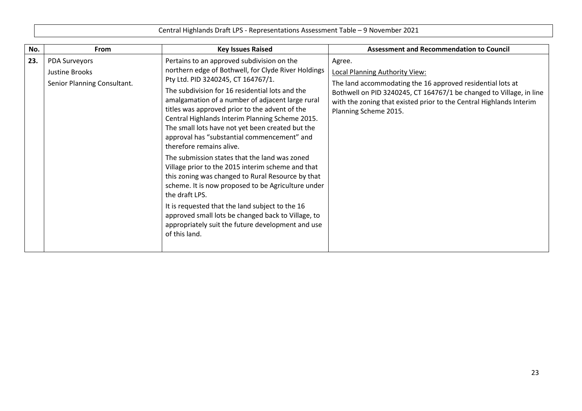| No. | <b>From</b>                                                           | <b>Key Issues Raised</b>                                                                                                                                                                                                                                                                                                                                                                                                                                                                                                                                                                                                                                                                                                                                                                                                                                                                             | <b>Assessment and Recommendation to Council</b>                                                                                                                                                                                                                                      |
|-----|-----------------------------------------------------------------------|------------------------------------------------------------------------------------------------------------------------------------------------------------------------------------------------------------------------------------------------------------------------------------------------------------------------------------------------------------------------------------------------------------------------------------------------------------------------------------------------------------------------------------------------------------------------------------------------------------------------------------------------------------------------------------------------------------------------------------------------------------------------------------------------------------------------------------------------------------------------------------------------------|--------------------------------------------------------------------------------------------------------------------------------------------------------------------------------------------------------------------------------------------------------------------------------------|
| 23. | <b>PDA Surveyors</b><br>Justine Brooks<br>Senior Planning Consultant. | Pertains to an approved subdivision on the<br>northern edge of Bothwell, for Clyde River Holdings<br>Pty Ltd. PID 3240245, CT 164767/1.<br>The subdivision for 16 residential lots and the<br>amalgamation of a number of adjacent large rural<br>titles was approved prior to the advent of the<br>Central Highlands Interim Planning Scheme 2015.<br>The small lots have not yet been created but the<br>approval has "substantial commencement" and<br>therefore remains alive.<br>The submission states that the land was zoned<br>Village prior to the 2015 interim scheme and that<br>this zoning was changed to Rural Resource by that<br>scheme. It is now proposed to be Agriculture under<br>the draft LPS.<br>It is requested that the land subject to the 16<br>approved small lots be changed back to Village, to<br>appropriately suit the future development and use<br>of this land. | Agree.<br><b>Local Planning Authority View:</b><br>The land accommodating the 16 approved residential lots at<br>Bothwell on PID 3240245, CT 164767/1 be changed to Village, in line<br>with the zoning that existed prior to the Central Highlands Interim<br>Planning Scheme 2015. |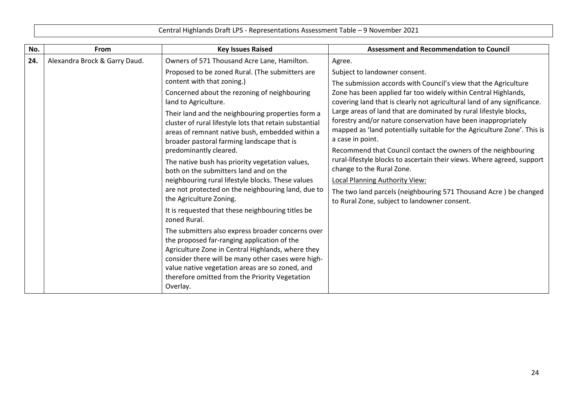| Central Highlands Draft LPS - Representations Assessment Table - 9 November 2021 |  |
|----------------------------------------------------------------------------------|--|
|----------------------------------------------------------------------------------|--|

| No. | From                          | <b>Key Issues Raised</b>                                                                                                                                                                                                                                                                                         | <b>Assessment and Recommendation to Council</b>                                                                                                                                                                                   |
|-----|-------------------------------|------------------------------------------------------------------------------------------------------------------------------------------------------------------------------------------------------------------------------------------------------------------------------------------------------------------|-----------------------------------------------------------------------------------------------------------------------------------------------------------------------------------------------------------------------------------|
| 24. | Alexandra Brock & Garry Daud. | Owners of 571 Thousand Acre Lane, Hamilton.                                                                                                                                                                                                                                                                      | Agree.                                                                                                                                                                                                                            |
|     |                               | Proposed to be zoned Rural. (The submitters are<br>content with that zoning.)                                                                                                                                                                                                                                    | Subject to landowner consent.<br>The submission accords with Council's view that the Agriculture                                                                                                                                  |
|     |                               | Concerned about the rezoning of neighbouring<br>land to Agriculture.                                                                                                                                                                                                                                             | Zone has been applied far too widely within Central Highlands,<br>covering land that is clearly not agricultural land of any significance.                                                                                        |
|     |                               | Their land and the neighbouring properties form a<br>cluster of rural lifestyle lots that retain substantial<br>areas of remnant native bush, embedded within a<br>broader pastoral farming landscape that is                                                                                                    | Large areas of land that are dominated by rural lifestyle blocks,<br>forestry and/or nature conservation have been inappropriately<br>mapped as 'land potentially suitable for the Agriculture Zone'. This is<br>a case in point. |
|     |                               | predominantly cleared.                                                                                                                                                                                                                                                                                           | Recommend that Council contact the owners of the neighbouring                                                                                                                                                                     |
|     |                               | The native bush has priority vegetation values,<br>both on the submitters land and on the                                                                                                                                                                                                                        | rural-lifestyle blocks to ascertain their views. Where agreed, support<br>change to the Rural Zone.                                                                                                                               |
|     |                               | neighbouring rural lifestyle blocks. These values                                                                                                                                                                                                                                                                | <b>Local Planning Authority View:</b>                                                                                                                                                                                             |
|     |                               | are not protected on the neighbouring land, due to<br>the Agriculture Zoning.                                                                                                                                                                                                                                    | The two land parcels (neighbouring 571 Thousand Acre) be changed<br>to Rural Zone, subject to landowner consent.                                                                                                                  |
|     |                               | It is requested that these neighbouring titles be<br>zoned Rural.                                                                                                                                                                                                                                                |                                                                                                                                                                                                                                   |
|     |                               | The submitters also express broader concerns over<br>the proposed far-ranging application of the<br>Agriculture Zone in Central Highlands, where they<br>consider there will be many other cases were high-<br>value native vegetation areas are so zoned, and<br>therefore omitted from the Priority Vegetation |                                                                                                                                                                                                                                   |
|     |                               | Overlay.                                                                                                                                                                                                                                                                                                         |                                                                                                                                                                                                                                   |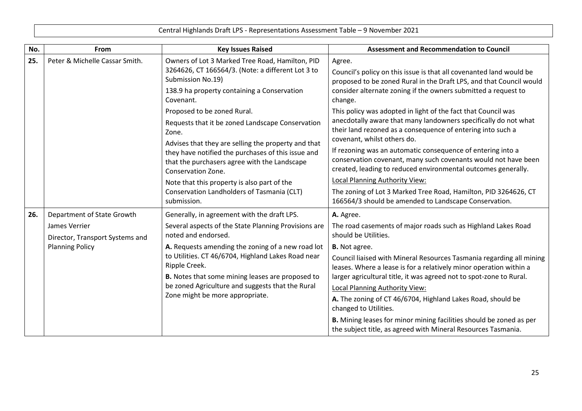| No. | From                                             | <b>Key Issues Raised</b>                                                                                                                                                              | <b>Assessment and Recommendation to Council</b>                                                                                                                                                                                   |
|-----|--------------------------------------------------|---------------------------------------------------------------------------------------------------------------------------------------------------------------------------------------|-----------------------------------------------------------------------------------------------------------------------------------------------------------------------------------------------------------------------------------|
| 25. | Peter & Michelle Cassar Smith.                   | Owners of Lot 3 Marked Tree Road, Hamilton, PID<br>3264626, CT 166564/3. (Note: a different Lot 3 to<br>Submission No.19)<br>138.9 ha property containing a Conservation<br>Covenant. | Agree.<br>Council's policy on this issue is that all covenanted land would be<br>proposed to be zoned Rural in the Draft LPS, and that Council would<br>consider alternate zoning if the owners submitted a request to<br>change. |
|     |                                                  | Proposed to be zoned Rural.                                                                                                                                                           | This policy was adopted in light of the fact that Council was                                                                                                                                                                     |
|     |                                                  | Requests that it be zoned Landscape Conservation<br>Zone.                                                                                                                             | anecdotally aware that many landowners specifically do not what<br>their land rezoned as a consequence of entering into such a<br>covenant, whilst others do.                                                                     |
|     |                                                  | Advises that they are selling the property and that<br>they have notified the purchases of this issue and<br>that the purchasers agree with the Landscape<br>Conservation Zone.       | If rezoning was an automatic consequence of entering into a<br>conservation covenant, many such covenants would not have been<br>created, leading to reduced environmental outcomes generally.                                    |
|     |                                                  | Note that this property is also part of the                                                                                                                                           | <b>Local Planning Authority View:</b>                                                                                                                                                                                             |
|     |                                                  | Conservation Landholders of Tasmania (CLT)<br>submission.                                                                                                                             | The zoning of Lot 3 Marked Tree Road, Hamilton, PID 3264626, CT<br>166564/3 should be amended to Landscape Conservation.                                                                                                          |
| 26. | Department of State Growth                       | Generally, in agreement with the draft LPS.                                                                                                                                           | A. Agree.                                                                                                                                                                                                                         |
|     | James Verrier<br>Director, Transport Systems and | Several aspects of the State Planning Provisions are<br>noted and endorsed.                                                                                                           | The road casements of major roads such as Highland Lakes Road<br>should be Utilities.                                                                                                                                             |
|     | <b>Planning Policy</b>                           | A. Requests amending the zoning of a new road lot                                                                                                                                     | <b>B.</b> Not agree.                                                                                                                                                                                                              |
|     |                                                  | to Utilities. CT 46/6704, Highland Lakes Road near<br>Ripple Creek.                                                                                                                   | Council liaised with Mineral Resources Tasmania regarding all mining<br>leases. Where a lease is for a relatively minor operation within a                                                                                        |
|     |                                                  | B. Notes that some mining leases are proposed to                                                                                                                                      | larger agricultural title, it was agreed not to spot-zone to Rural.                                                                                                                                                               |
|     |                                                  | be zoned Agriculture and suggests that the Rural                                                                                                                                      | Local Planning Authority View:                                                                                                                                                                                                    |
|     |                                                  | Zone might be more appropriate.                                                                                                                                                       | A. The zoning of CT 46/6704, Highland Lakes Road, should be<br>changed to Utilities.                                                                                                                                              |
|     |                                                  |                                                                                                                                                                                       | B. Mining leases for minor mining facilities should be zoned as per<br>the subject title, as agreed with Mineral Resources Tasmania.                                                                                              |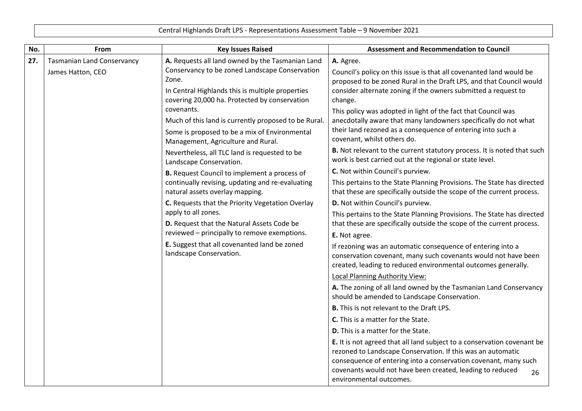| No. | From                                                   | <b>Key Issues Raised</b>                                                                                                                                                                                   | <b>Assessment and Recommendation to Council</b>                                                                                                                                                                                           |
|-----|--------------------------------------------------------|------------------------------------------------------------------------------------------------------------------------------------------------------------------------------------------------------------|-------------------------------------------------------------------------------------------------------------------------------------------------------------------------------------------------------------------------------------------|
| 27. | <b>Tasmanian Land Conservancy</b><br>James Hatton, CEO | A. Requests all land owned by the Tasmanian Land<br>Conservancy to be zoned Landscape Conservation<br>Zone.<br>In Central Highlands this is multiple properties                                            | A. Agree.<br>Council's policy on this issue is that all covenanted land would be<br>proposed to be zoned Rural in the Draft LPS, and that Council would<br>consider alternate zoning if the owners submitted a request to                 |
|     |                                                        | covering 20,000 ha. Protected by conservation<br>covenants.<br>Much of this land is currently proposed to be Rural.<br>Some is proposed to be a mix of Environmental<br>Management, Agriculture and Rural. | change.<br>This policy was adopted in light of the fact that Council was<br>anecdotally aware that many landowners specifically do not what<br>their land rezoned as a consequence of entering into such a<br>covenant, whilst others do. |
|     |                                                        | Nevertheless, all TLC land is requested to be<br>Landscape Conservation.                                                                                                                                   | <b>B.</b> Not relevant to the current statutory process. It is noted that such<br>work is best carried out at the regional or state level.                                                                                                |
|     |                                                        | <b>B.</b> Request Council to implement a process of                                                                                                                                                        | C. Not within Council's purview.                                                                                                                                                                                                          |
|     |                                                        | continually revising, updating and re-evaluating<br>natural assets overlay mapping.                                                                                                                        | This pertains to the State Planning Provisions. The State has directed<br>that these are specifically outside the scope of the current process.                                                                                           |
|     |                                                        | C. Requests that the Priority Vegetation Overlay                                                                                                                                                           | D. Not within Council's purview.                                                                                                                                                                                                          |
|     |                                                        | apply to all zones.<br>D. Request that the Natural Assets Code be                                                                                                                                          | This pertains to the State Planning Provisions. The State has directed<br>that these are specifically outside the scope of the current process.                                                                                           |
|     |                                                        | reviewed - principally to remove exemptions.                                                                                                                                                               | E. Not agree.                                                                                                                                                                                                                             |
|     |                                                        | E. Suggest that all covenanted land be zoned<br>landscape Conservation.                                                                                                                                    | If rezoning was an automatic consequence of entering into a<br>conservation covenant, many such covenants would not have been<br>created, leading to reduced environmental outcomes generally.                                            |
|     |                                                        |                                                                                                                                                                                                            | Local Planning Authority View:                                                                                                                                                                                                            |
|     |                                                        |                                                                                                                                                                                                            | A. The zoning of all land owned by the Tasmanian Land Conservancy<br>should be amended to Landscape Conservation.                                                                                                                         |
|     |                                                        |                                                                                                                                                                                                            | <b>B.</b> This is not relevant to the Draft LPS.                                                                                                                                                                                          |
|     |                                                        |                                                                                                                                                                                                            | <b>C.</b> This is a matter for the State.                                                                                                                                                                                                 |
|     |                                                        |                                                                                                                                                                                                            | <b>D.</b> This is a matter for the State.                                                                                                                                                                                                 |
|     |                                                        |                                                                                                                                                                                                            | E. It is not agreed that all land subject to a conservation covenant be<br>rezoned to Landscape Conservation. If this was an automatic                                                                                                    |
|     |                                                        |                                                                                                                                                                                                            | consequence of entering into a conservation covenant, many such<br>covenants would not have been created, leading to reduced<br>26<br>environmental outcomes.                                                                             |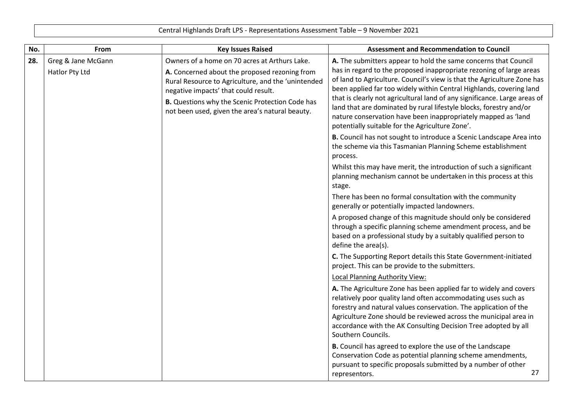| No. | From                                 | <b>Key Issues Raised</b>                                                                                                                                                                                                                                                                                  | <b>Assessment and Recommendation to Council</b>                                                                                                                                                                                                                                                                                                                                                                                                                                                                                                                 |
|-----|--------------------------------------|-----------------------------------------------------------------------------------------------------------------------------------------------------------------------------------------------------------------------------------------------------------------------------------------------------------|-----------------------------------------------------------------------------------------------------------------------------------------------------------------------------------------------------------------------------------------------------------------------------------------------------------------------------------------------------------------------------------------------------------------------------------------------------------------------------------------------------------------------------------------------------------------|
| 28. | Greg & Jane McGann<br>Hatlor Pty Ltd | Owners of a home on 70 acres at Arthurs Lake.<br>A. Concerned about the proposed rezoning from<br>Rural Resource to Agriculture, and the 'unintended<br>negative impacts' that could result.<br><b>B.</b> Questions why the Scenic Protection Code has<br>not been used, given the area's natural beauty. | A. The submitters appear to hold the same concerns that Council<br>has in regard to the proposed inappropriate rezoning of large areas<br>of land to Agriculture. Council's view is that the Agriculture Zone has<br>been applied far too widely within Central Highlands, covering land<br>that is clearly not agricultural land of any significance. Large areas of<br>land that are dominated by rural lifestyle blocks, forestry and/or<br>nature conservation have been inappropriately mapped as 'land<br>potentially suitable for the Agriculture Zone'. |
|     |                                      |                                                                                                                                                                                                                                                                                                           | B. Council has not sought to introduce a Scenic Landscape Area into<br>the scheme via this Tasmanian Planning Scheme establishment<br>process.                                                                                                                                                                                                                                                                                                                                                                                                                  |
|     |                                      |                                                                                                                                                                                                                                                                                                           | Whilst this may have merit, the introduction of such a significant<br>planning mechanism cannot be undertaken in this process at this<br>stage.                                                                                                                                                                                                                                                                                                                                                                                                                 |
|     |                                      |                                                                                                                                                                                                                                                                                                           | There has been no formal consultation with the community<br>generally or potentially impacted landowners.                                                                                                                                                                                                                                                                                                                                                                                                                                                       |
|     |                                      |                                                                                                                                                                                                                                                                                                           | A proposed change of this magnitude should only be considered<br>through a specific planning scheme amendment process, and be<br>based on a professional study by a suitably qualified person to<br>define the area(s).                                                                                                                                                                                                                                                                                                                                         |
|     |                                      |                                                                                                                                                                                                                                                                                                           | C. The Supporting Report details this State Government-initiated<br>project. This can be provide to the submitters.                                                                                                                                                                                                                                                                                                                                                                                                                                             |
|     |                                      |                                                                                                                                                                                                                                                                                                           | Local Planning Authority View:                                                                                                                                                                                                                                                                                                                                                                                                                                                                                                                                  |
|     |                                      |                                                                                                                                                                                                                                                                                                           | A. The Agriculture Zone has been applied far to widely and covers<br>relatively poor quality land often accommodating uses such as<br>forestry and natural values conservation. The application of the<br>Agriculture Zone should be reviewed across the municipal area in<br>accordance with the AK Consulting Decision Tree adopted by all<br>Southern Councils.                                                                                                                                                                                              |
|     |                                      |                                                                                                                                                                                                                                                                                                           | B. Council has agreed to explore the use of the Landscape<br>Conservation Code as potential planning scheme amendments,<br>pursuant to specific proposals submitted by a number of other<br>27<br>representors.                                                                                                                                                                                                                                                                                                                                                 |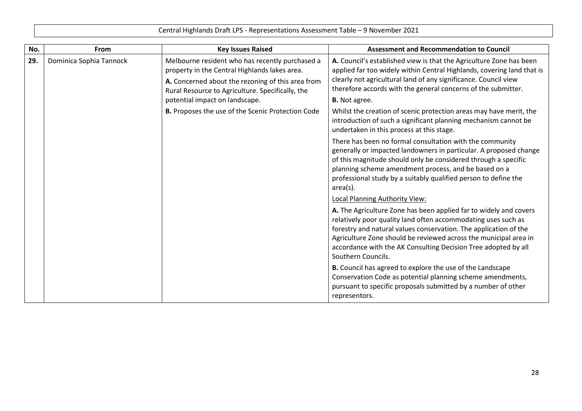|     |                         | Central Highlands Drait LPS - Representations Assessment Table – 9 November 2021                                                                                                                                                            |                                                                                                                                                                                                                                                                                                                                                                                                             |
|-----|-------------------------|---------------------------------------------------------------------------------------------------------------------------------------------------------------------------------------------------------------------------------------------|-------------------------------------------------------------------------------------------------------------------------------------------------------------------------------------------------------------------------------------------------------------------------------------------------------------------------------------------------------------------------------------------------------------|
| No. | From                    | <b>Key Issues Raised</b>                                                                                                                                                                                                                    | <b>Assessment and Recommendation to Council</b>                                                                                                                                                                                                                                                                                                                                                             |
| 29. | Dominica Sophia Tannock | Melbourne resident who has recently purchased a<br>property in the Central Highlands lakes area.<br>A. Concerned about the rezoning of this area from<br>Rural Resource to Agriculture. Specifically, the<br>potential impact on landscape. | A. Council's established view is that the Agriculture Zone has been<br>applied far too widely within Central Highlands, covering land that is<br>clearly not agricultural land of any significance. Council view<br>therefore accords with the general concerns of the submitter.<br><b>B.</b> Not agree.                                                                                                   |
|     |                         | B. Proposes the use of the Scenic Protection Code                                                                                                                                                                                           | Whilst the creation of scenic protection areas may have merit, the<br>introduction of such a significant planning mechanism cannot be<br>undertaken in this process at this stage.                                                                                                                                                                                                                          |
|     |                         |                                                                                                                                                                                                                                             | There has been no formal consultation with the community<br>generally or impacted landowners in particular. A proposed change<br>of this magnitude should only be considered through a specific<br>planning scheme amendment process, and be based on a<br>professional study by a suitably qualified person to define the<br>$area(s)$ .                                                                   |
|     |                         |                                                                                                                                                                                                                                             | <b>Local Planning Authority View:</b><br>A. The Agriculture Zone has been applied far to widely and covers<br>relatively poor quality land often accommodating uses such as<br>forestry and natural values conservation. The application of the<br>Agriculture Zone should be reviewed across the municipal area in<br>accordance with the AK Consulting Decision Tree adopted by all<br>Southern Councils. |
|     |                         |                                                                                                                                                                                                                                             | <b>B.</b> Council has agreed to explore the use of the Landscape<br>Conservation Code as potential planning scheme amendments,<br>pursuant to specific proposals submitted by a number of other<br>representors.                                                                                                                                                                                            |

 $\mathsf T$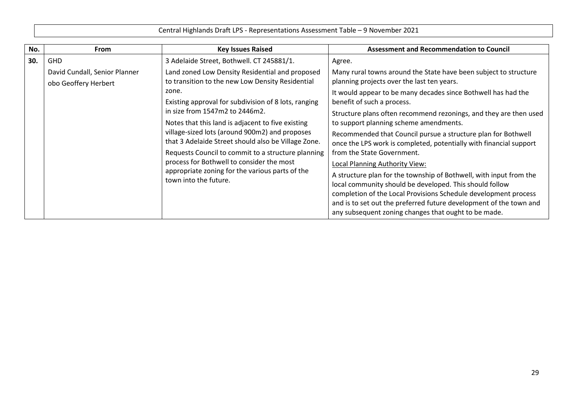Central Highlands Draft LPS - Representations Assessment Table – 9 November 2021 **No. From Key Issues Raised Assessment and Recommendation to Council 30.** GHD David Cundall, Senior Planner obo Geoffery Herbert 3 Adelaide Street, Bothwell. CT 245881/1. Land zoned Low Density Residential and proposed to transition to the new Low Density Residential zone. Existing approval for subdivision of 8 lots, ranging in size from 1547m2 to 2446m2. Notes that this land is adjacent to five existing village-sized lots (around 900m2) and proposes that 3 Adelaide Street should also be Village Zone. Requests Council to commit to a structure planning process for Bothwell to consider the most appropriate zoning for the various parts of the Agree. Many rural towns around the State have been subject to structure planning projects over the last ten years. It would appear to be many decades since Bothwell has had the benefit of such a process. Structure plans often recommend rezonings, and they are then used to support planning scheme amendments. Recommended that Council pursue a structure plan for Bothwell once the LPS work is completed, potentially with financial support from the State Government. Local Planning Authority View:

town into the future.

A structure plan for the township of Bothwell, with input from the

completion of the Local Provisions Schedule development process and is to set out the preferred future development of the town and

local community should be developed. This should follow

any subsequent zoning changes that ought to be made.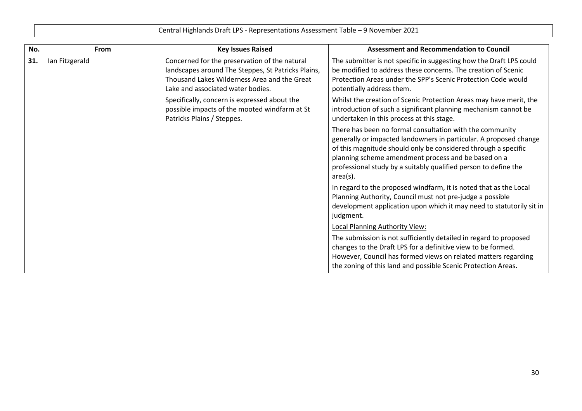| No. | From           | <b>Key Issues Raised</b>                                                                                                                                                                 | <b>Assessment and Recommendation to Council</b>                                                                                                                                                                                                                                                                                          |
|-----|----------------|------------------------------------------------------------------------------------------------------------------------------------------------------------------------------------------|------------------------------------------------------------------------------------------------------------------------------------------------------------------------------------------------------------------------------------------------------------------------------------------------------------------------------------------|
| 31. | Ian Fitzgerald | Concerned for the preservation of the natural<br>landscapes around The Steppes, St Patricks Plains,<br>Thousand Lakes Wilderness Area and the Great<br>Lake and associated water bodies. | The submitter is not specific in suggesting how the Draft LPS could<br>be modified to address these concerns. The creation of Scenic<br>Protection Areas under the SPP's Scenic Protection Code would<br>potentially address them.                                                                                                       |
|     |                | Specifically, concern is expressed about the<br>possible impacts of the mooted windfarm at St<br>Patricks Plains / Steppes.                                                              | Whilst the creation of Scenic Protection Areas may have merit, the<br>introduction of such a significant planning mechanism cannot be<br>undertaken in this process at this stage.                                                                                                                                                       |
|     |                |                                                                                                                                                                                          | There has been no formal consultation with the community<br>generally or impacted landowners in particular. A proposed change<br>of this magnitude should only be considered through a specific<br>planning scheme amendment process and be based on a<br>professional study by a suitably qualified person to define the<br>$area(s)$ . |
|     |                |                                                                                                                                                                                          | In regard to the proposed windfarm, it is noted that as the Local<br>Planning Authority, Council must not pre-judge a possible<br>development application upon which it may need to statutorily sit in<br>judgment.                                                                                                                      |
|     |                |                                                                                                                                                                                          | <b>Local Planning Authority View:</b>                                                                                                                                                                                                                                                                                                    |
|     |                |                                                                                                                                                                                          | The submission is not sufficiently detailed in regard to proposed<br>changes to the Draft LPS for a definitive view to be formed.<br>However, Council has formed views on related matters regarding<br>the zoning of this land and possible Scenic Protection Areas.                                                                     |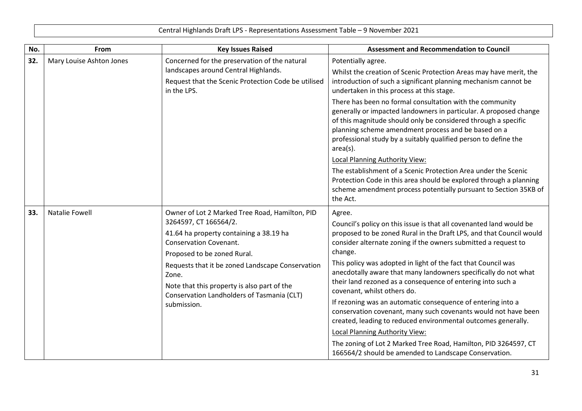| No. | From                     | <b>Key Issues Raised</b>                                                                                                                                                                                                                                                                                                                                    | <b>Assessment and Recommendation to Council</b>                                                                                                                                                                                                                                                                                                                                                                                                                                                                                                                                                                                                                                                                                                                                                                                     |
|-----|--------------------------|-------------------------------------------------------------------------------------------------------------------------------------------------------------------------------------------------------------------------------------------------------------------------------------------------------------------------------------------------------------|-------------------------------------------------------------------------------------------------------------------------------------------------------------------------------------------------------------------------------------------------------------------------------------------------------------------------------------------------------------------------------------------------------------------------------------------------------------------------------------------------------------------------------------------------------------------------------------------------------------------------------------------------------------------------------------------------------------------------------------------------------------------------------------------------------------------------------------|
| 32. | Mary Louise Ashton Jones | Concerned for the preservation of the natural<br>landscapes around Central Highlands.<br>Request that the Scenic Protection Code be utilised<br>in the LPS.                                                                                                                                                                                                 | Potentially agree.<br>Whilst the creation of Scenic Protection Areas may have merit, the<br>introduction of such a significant planning mechanism cannot be<br>undertaken in this process at this stage.                                                                                                                                                                                                                                                                                                                                                                                                                                                                                                                                                                                                                            |
|     |                          |                                                                                                                                                                                                                                                                                                                                                             | There has been no formal consultation with the community<br>generally or impacted landowners in particular. A proposed change<br>of this magnitude should only be considered through a specific<br>planning scheme amendment process and be based on a<br>professional study by a suitably qualified person to define the<br>$area(s)$ .<br>Local Planning Authority View:<br>The establishment of a Scenic Protection Area under the Scenic<br>Protection Code in this area should be explored through a planning<br>scheme amendment process potentially pursuant to Section 35KB of<br>the Act.                                                                                                                                                                                                                                  |
| 33. | <b>Natalie Fowell</b>    | Owner of Lot 2 Marked Tree Road, Hamilton, PID<br>3264597, CT 166564/2.<br>41.64 ha property containing a 38.19 ha<br><b>Conservation Covenant.</b><br>Proposed to be zoned Rural.<br>Requests that it be zoned Landscape Conservation<br>Zone.<br>Note that this property is also part of the<br>Conservation Landholders of Tasmania (CLT)<br>submission. | Agree.<br>Council's policy on this issue is that all covenanted land would be<br>proposed to be zoned Rural in the Draft LPS, and that Council would<br>consider alternate zoning if the owners submitted a request to<br>change.<br>This policy was adopted in light of the fact that Council was<br>anecdotally aware that many landowners specifically do not what<br>their land rezoned as a consequence of entering into such a<br>covenant, whilst others do.<br>If rezoning was an automatic consequence of entering into a<br>conservation covenant, many such covenants would not have been<br>created, leading to reduced environmental outcomes generally.<br>Local Planning Authority View:<br>The zoning of Lot 2 Marked Tree Road, Hamilton, PID 3264597, CT<br>166564/2 should be amended to Landscape Conservation. |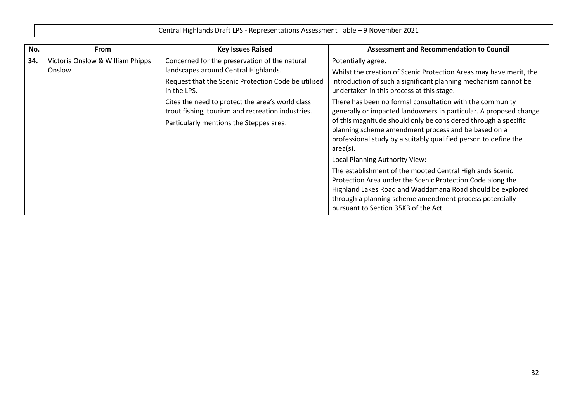| <b>From</b>                                | <b>Key Issues Raised</b>                                                                                                                                                                                                                                                                                        | <b>Assessment and Recommendation to Council</b>                                                                                                                                                                                                                                                                                                                                                                                                                                                                                                                                                                                                                                                                                                                                                                                       |
|--------------------------------------------|-----------------------------------------------------------------------------------------------------------------------------------------------------------------------------------------------------------------------------------------------------------------------------------------------------------------|---------------------------------------------------------------------------------------------------------------------------------------------------------------------------------------------------------------------------------------------------------------------------------------------------------------------------------------------------------------------------------------------------------------------------------------------------------------------------------------------------------------------------------------------------------------------------------------------------------------------------------------------------------------------------------------------------------------------------------------------------------------------------------------------------------------------------------------|
| Victoria Onslow & William Phipps<br>Onslow | Concerned for the preservation of the natural<br>landscapes around Central Highlands.<br>Request that the Scenic Protection Code be utilised<br>in the LPS.<br>Cites the need to protect the area's world class<br>trout fishing, tourism and recreation industries.<br>Particularly mentions the Steppes area. | Potentially agree.<br>Whilst the creation of Scenic Protection Areas may have merit, the<br>introduction of such a significant planning mechanism cannot be<br>undertaken in this process at this stage.<br>There has been no formal consultation with the community<br>generally or impacted landowners in particular. A proposed change<br>of this magnitude should only be considered through a specific<br>planning scheme amendment process and be based on a<br>professional study by a suitably qualified person to define the<br>area(s).<br>Local Planning Authority View:<br>The establishment of the mooted Central Highlands Scenic<br>Protection Area under the Scenic Protection Code along the<br>Highland Lakes Road and Waddamana Road should be explored<br>through a planning scheme amendment process potentially |
|                                            |                                                                                                                                                                                                                                                                                                                 |                                                                                                                                                                                                                                                                                                                                                                                                                                                                                                                                                                                                                                                                                                                                                                                                                                       |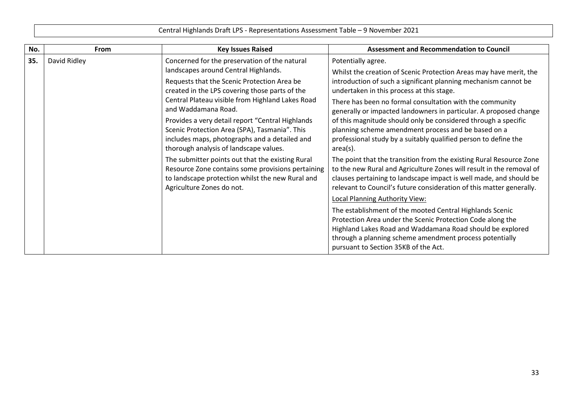| No. | <b>From</b>  | <b>Key Issues Raised</b>                                                                                                                                                                                                                                                | <b>Assessment and Recommendation to Council</b>                                                                                                                                                                                                                                                                                       |
|-----|--------------|-------------------------------------------------------------------------------------------------------------------------------------------------------------------------------------------------------------------------------------------------------------------------|---------------------------------------------------------------------------------------------------------------------------------------------------------------------------------------------------------------------------------------------------------------------------------------------------------------------------------------|
| 35. | David Ridley | Concerned for the preservation of the natural<br>landscapes around Central Highlands.<br>Requests that the Scenic Protection Area be<br>created in the LPS covering those parts of the                                                                                  | Potentially agree.<br>Whilst the creation of Scenic Protection Areas may have merit, the<br>introduction of such a significant planning mechanism cannot be<br>undertaken in this process at this stage.                                                                                                                              |
|     |              | Central Plateau visible from Highland Lakes Road<br>and Waddamana Road.<br>Provides a very detail report "Central Highlands<br>Scenic Protection Area (SPA), Tasmania". This<br>includes maps, photographs and a detailed and<br>thorough analysis of landscape values. | There has been no formal consultation with the community<br>generally or impacted landowners in particular. A proposed change<br>of this magnitude should only be considered through a specific<br>planning scheme amendment process and be based on a<br>professional study by a suitably qualified person to define the<br>area(s). |
|     |              | The submitter points out that the existing Rural<br>Resource Zone contains some provisions pertaining<br>to landscape protection whilst the new Rural and<br>Agriculture Zones do not.                                                                                  | The point that the transition from the existing Rural Resource Zone<br>to the new Rural and Agriculture Zones will result in the removal of<br>clauses pertaining to landscape impact is well made, and should be<br>relevant to Council's future consideration of this matter generally.<br>Local Planning Authority View:           |
|     |              |                                                                                                                                                                                                                                                                         | The establishment of the mooted Central Highlands Scenic<br>Protection Area under the Scenic Protection Code along the<br>Highland Lakes Road and Waddamana Road should be explored<br>through a planning scheme amendment process potentially<br>pursuant to Section 35KB of the Act.                                                |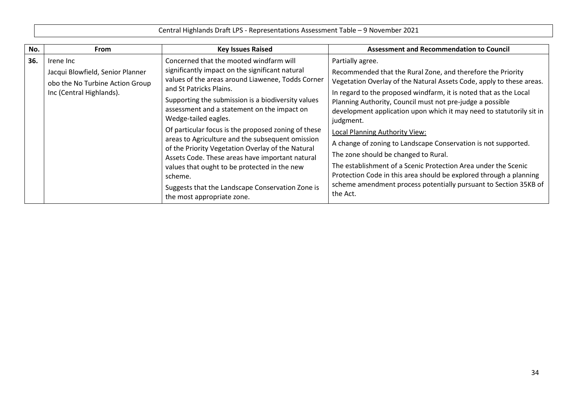|     | Central Highlands Draft LPS - Representations Assessment Table - 9 November 2021                             |                                                                                                                                                                                                                                                                                                                                                                                                                                                                                                                                                                                                                                                                         |                                                                                                                                                                                                                                                                                                                                                                                                                                                                                                                                                                                                                                                                                                                                                           |
|-----|--------------------------------------------------------------------------------------------------------------|-------------------------------------------------------------------------------------------------------------------------------------------------------------------------------------------------------------------------------------------------------------------------------------------------------------------------------------------------------------------------------------------------------------------------------------------------------------------------------------------------------------------------------------------------------------------------------------------------------------------------------------------------------------------------|-----------------------------------------------------------------------------------------------------------------------------------------------------------------------------------------------------------------------------------------------------------------------------------------------------------------------------------------------------------------------------------------------------------------------------------------------------------------------------------------------------------------------------------------------------------------------------------------------------------------------------------------------------------------------------------------------------------------------------------------------------------|
| No. | <b>From</b>                                                                                                  | <b>Key Issues Raised</b>                                                                                                                                                                                                                                                                                                                                                                                                                                                                                                                                                                                                                                                | <b>Assessment and Recommendation to Council</b>                                                                                                                                                                                                                                                                                                                                                                                                                                                                                                                                                                                                                                                                                                           |
| 36. | Irene Inc<br>Jacqui Blowfield, Senior Planner<br>obo the No Turbine Action Group<br>Inc (Central Highlands). | Concerned that the mooted windfarm will<br>significantly impact on the significant natural<br>values of the areas around Liawenee, Todds Corner<br>and St Patricks Plains.<br>Supporting the submission is a biodiversity values<br>assessment and a statement on the impact on<br>Wedge-tailed eagles.<br>Of particular focus is the proposed zoning of these<br>areas to Agriculture and the subsequent omission<br>of the Priority Vegetation Overlay of the Natural<br>Assets Code. These areas have important natural<br>values that ought to be protected in the new<br>scheme.<br>Suggests that the Landscape Conservation Zone is<br>the most appropriate zone. | Partially agree.<br>Recommended that the Rural Zone, and therefore the Priority<br>Vegetation Overlay of the Natural Assets Code, apply to these areas.<br>In regard to the proposed windfarm, it is noted that as the Local<br>Planning Authority, Council must not pre-judge a possible<br>development application upon which it may need to statutorily sit in<br>judgment.<br><b>Local Planning Authority View:</b><br>A change of zoning to Landscape Conservation is not supported.<br>The zone should be changed to Rural.<br>The establishment of a Scenic Protection Area under the Scenic<br>Protection Code in this area should be explored through a planning<br>scheme amendment process potentially pursuant to Section 35KB of<br>the Act. |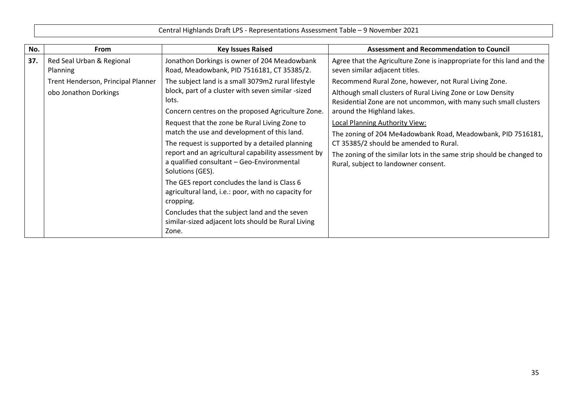| No. | <b>From</b>                                  | <b>Key Issues Raised</b>                                                                                              | <b>Assessment and Recommendation to Council</b>                                                                                                               |
|-----|----------------------------------------------|-----------------------------------------------------------------------------------------------------------------------|---------------------------------------------------------------------------------------------------------------------------------------------------------------|
| 37. | Red Seal Urban & Regional<br><b>Planning</b> | Jonathon Dorkings is owner of 204 Meadowbank<br>Road, Meadowbank, PID 7516181, CT 35385/2.                            | Agree that the Agriculture Zone is inappropriate for this land and the<br>seven similar adjacent titles.                                                      |
|     | Trent Henderson, Principal Planner           | The subject land is a small 3079m2 rural lifestyle                                                                    | Recommend Rural Zone, however, not Rural Living Zone.                                                                                                         |
|     | obo Jonathon Dorkings                        | block, part of a cluster with seven similar -sized<br>lots.<br>Concern centres on the proposed Agriculture Zone.      | Although small clusters of Rural Living Zone or Low Density<br>Residential Zone are not uncommon, with many such small clusters<br>around the Highland lakes. |
|     |                                              | Request that the zone be Rural Living Zone to                                                                         | <b>Local Planning Authority View:</b>                                                                                                                         |
|     |                                              | match the use and development of this land.                                                                           | The zoning of 204 Me4adowbank Road, Meadowbank, PID 7516181,                                                                                                  |
|     |                                              | The request is supported by a detailed planning                                                                       | CT 35385/2 should be amended to Rural.                                                                                                                        |
|     |                                              | report and an agricultural capability assessment by<br>a qualified consultant - Geo-Environmental<br>Solutions (GES). | The zoning of the similar lots in the same strip should be changed to<br>Rural, subject to landowner consent.                                                 |
|     |                                              | The GES report concludes the land is Class 6<br>agricultural land, i.e.: poor, with no capacity for<br>cropping.      |                                                                                                                                                               |
|     |                                              | Concludes that the subject land and the seven<br>similar-sized adjacent lots should be Rural Living<br>Zone.          |                                                                                                                                                               |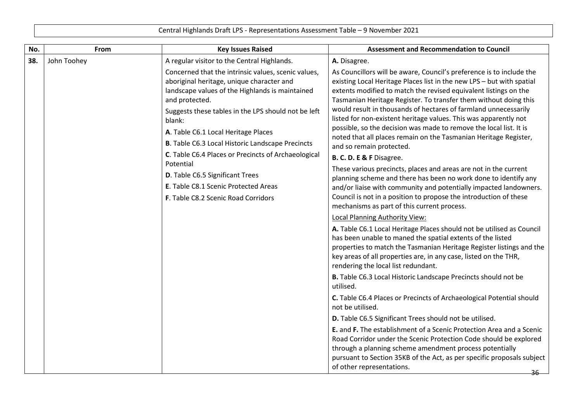|     | Central Highlands Draft LPS - Representations Assessment Table - 9 November 2021 |                                                                                                                                                                                                                                                                                                                                                                                                                                                                                                                                                                               |                                                                                                                                                                                                                                                                                                                                                                                                                                                                                                                                                                                                                                                                                                                                                                                                                                                                                                                                                                                                                                                                                                                                                                                                                                                                                                                                                                                                                                                                                                                                                                                                                                                                                                                                                                                                                                                                                                                |
|-----|----------------------------------------------------------------------------------|-------------------------------------------------------------------------------------------------------------------------------------------------------------------------------------------------------------------------------------------------------------------------------------------------------------------------------------------------------------------------------------------------------------------------------------------------------------------------------------------------------------------------------------------------------------------------------|----------------------------------------------------------------------------------------------------------------------------------------------------------------------------------------------------------------------------------------------------------------------------------------------------------------------------------------------------------------------------------------------------------------------------------------------------------------------------------------------------------------------------------------------------------------------------------------------------------------------------------------------------------------------------------------------------------------------------------------------------------------------------------------------------------------------------------------------------------------------------------------------------------------------------------------------------------------------------------------------------------------------------------------------------------------------------------------------------------------------------------------------------------------------------------------------------------------------------------------------------------------------------------------------------------------------------------------------------------------------------------------------------------------------------------------------------------------------------------------------------------------------------------------------------------------------------------------------------------------------------------------------------------------------------------------------------------------------------------------------------------------------------------------------------------------------------------------------------------------------------------------------------------------|
| No. | <b>From</b>                                                                      | <b>Key Issues Raised</b>                                                                                                                                                                                                                                                                                                                                                                                                                                                                                                                                                      | <b>Assessment and Recommendation to Council</b>                                                                                                                                                                                                                                                                                                                                                                                                                                                                                                                                                                                                                                                                                                                                                                                                                                                                                                                                                                                                                                                                                                                                                                                                                                                                                                                                                                                                                                                                                                                                                                                                                                                                                                                                                                                                                                                                |
| 38. | John Toohey                                                                      | A regular visitor to the Central Highlands.<br>Concerned that the intrinsic values, scenic values,<br>aboriginal heritage, unique character and<br>landscape values of the Highlands is maintained<br>and protected.<br>Suggests these tables in the LPS should not be left<br>blank:<br>A. Table C6.1 Local Heritage Places<br><b>B.</b> Table C6.3 Local Historic Landscape Precincts<br>C. Table C6.4 Places or Precincts of Archaeological<br>Potential<br>D. Table C6.5 Significant Trees<br>E. Table C8.1 Scenic Protected Areas<br>F. Table C8.2 Scenic Road Corridors | A. Disagree.<br>As Councillors will be aware, Council's preference is to include the<br>existing Local Heritage Places list in the new LPS - but with spatial<br>extents modified to match the revised equivalent listings on the<br>Tasmanian Heritage Register. To transfer them without doing this<br>would result in thousands of hectares of farmland unnecessarily<br>listed for non-existent heritage values. This was apparently not<br>possible, so the decision was made to remove the local list. It is<br>noted that all places remain on the Tasmanian Heritage Register,<br>and so remain protected.<br>B. C. D. E & F Disagree.<br>These various precincts, places and areas are not in the current<br>planning scheme and there has been no work done to identify any<br>and/or liaise with community and potentially impacted landowners.<br>Council is not in a position to propose the introduction of these<br>mechanisms as part of this current process.<br><b>Local Planning Authority View:</b><br>A. Table C6.1 Local Heritage Places should not be utilised as Council<br>has been unable to maned the spatial extents of the listed<br>properties to match the Tasmanian Heritage Register listings and the<br>key areas of all properties are, in any case, listed on the THR,<br>rendering the local list redundant.<br>B. Table C6.3 Local Historic Landscape Precincts should not be<br>utilised.<br>C. Table C6.4 Places or Precincts of Archaeological Potential should<br>not be utilised.<br>D. Table C6.5 Significant Trees should not be utilised.<br>E. and F. The establishment of a Scenic Protection Area and a Scenic<br>Road Corridor under the Scenic Protection Code should be explored<br>through a planning scheme amendment process potentially<br>pursuant to Section 35KB of the Act, as per specific proposals subject<br>of other representations.<br>-36- |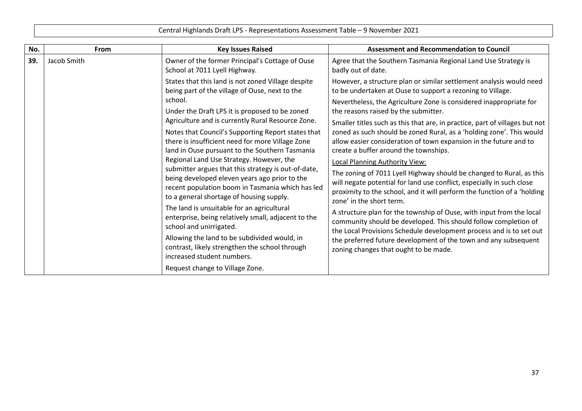| No. | <b>From</b> | <b>Key Issues Raised</b>                                                                                                                                                                             | <b>Assessment and Recommendation to Council</b>                                                                                                                                                                                                      |
|-----|-------------|------------------------------------------------------------------------------------------------------------------------------------------------------------------------------------------------------|------------------------------------------------------------------------------------------------------------------------------------------------------------------------------------------------------------------------------------------------------|
| 39. | Jacob Smith | Owner of the former Principal's Cottage of Ouse<br>School at 7011 Lyell Highway.                                                                                                                     | Agree that the Southern Tasmania Regional Land Use Strategy is<br>badly out of date.                                                                                                                                                                 |
|     |             | States that this land is not zoned Village despite<br>being part of the village of Ouse, next to the                                                                                                 | However, a structure plan or similar settlement analysis would need<br>to be undertaken at Ouse to support a rezoning to Village.                                                                                                                    |
|     |             | school.<br>Under the Draft LPS it is proposed to be zoned                                                                                                                                            | Nevertheless, the Agriculture Zone is considered inappropriate for<br>the reasons raised by the submitter.                                                                                                                                           |
|     |             | Agriculture and is currently Rural Resource Zone.<br>Notes that Council's Supporting Report states that                                                                                              | Smaller titles such as this that are, in practice, part of villages but not<br>zoned as such should be zoned Rural, as a 'holding zone'. This would                                                                                                  |
|     |             | there is insufficient need for more Village Zone<br>land in Ouse pursuant to the Southern Tasmania                                                                                                   | allow easier consideration of town expansion in the future and to<br>create a buffer around the townships.                                                                                                                                           |
|     |             | Regional Land Use Strategy. However, the                                                                                                                                                             | <b>Local Planning Authority View:</b>                                                                                                                                                                                                                |
|     |             | submitter argues that this strategy is out-of-date,<br>being developed eleven years ago prior to the<br>recent population boom in Tasmania which has led<br>to a general shortage of housing supply. | The zoning of 7011 Lyell Highway should be changed to Rural, as this<br>will negate potential for land use conflict, especially in such close<br>proximity to the school, and it will perform the function of a 'holding<br>zone' in the short term. |
|     |             | The land is unsuitable for an agricultural<br>enterprise, being relatively small, adjacent to the<br>school and unirrigated.                                                                         | A structure plan for the township of Ouse, with input from the local<br>community should be developed. This should follow completion of<br>the Local Provisions Schedule development process and is to set out                                       |
|     |             | Allowing the land to be subdivided would, in<br>contrast, likely strengthen the school through<br>increased student numbers.                                                                         | the preferred future development of the town and any subsequent<br>zoning changes that ought to be made.                                                                                                                                             |
|     |             | Request change to Village Zone.                                                                                                                                                                      |                                                                                                                                                                                                                                                      |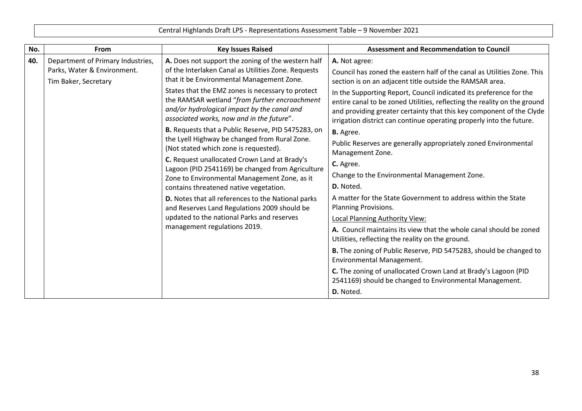| Central Highlands Draft LPS - Representations Assessment Table - 9 November 2021 |
|----------------------------------------------------------------------------------|
|----------------------------------------------------------------------------------|

| No. | From                                                             | <b>Key Issues Raised</b>                                                                                                                                                                       | <b>Assessment and Recommendation to Council</b>                                                                                                                                                                                                                                                                                                            |
|-----|------------------------------------------------------------------|------------------------------------------------------------------------------------------------------------------------------------------------------------------------------------------------|------------------------------------------------------------------------------------------------------------------------------------------------------------------------------------------------------------------------------------------------------------------------------------------------------------------------------------------------------------|
| 40. | Department of Primary Industries,<br>Parks, Water & Environment. | A. Does not support the zoning of the western half<br>of the Interlaken Canal as Utilities Zone. Requests<br>that it be Environmental Management Zone.                                         | A. Not agree:<br>Council has zoned the eastern half of the canal as Utilities Zone. This                                                                                                                                                                                                                                                                   |
|     | Tim Baker, Secretary                                             | States that the EMZ zones is necessary to protect<br>the RAMSAR wetland "from further encroachment<br>and/or hydrological impact by the canal and<br>associated works, now and in the future". | section is on an adjacent title outside the RAMSAR area.<br>In the Supporting Report, Council indicated its preference for the<br>entire canal to be zoned Utilities, reflecting the reality on the ground<br>and providing greater certainty that this key component of the Clyde<br>irrigation district can continue operating properly into the future. |
|     |                                                                  | B. Requests that a Public Reserve, PID 5475283, on<br>the Lyell Highway be changed from Rural Zone.<br>(Not stated which zone is requested).                                                   | <b>B.</b> Agree.<br>Public Reserves are generally appropriately zoned Environmental<br>Management Zone.                                                                                                                                                                                                                                                    |
|     |                                                                  | C. Request unallocated Crown Land at Brady's<br>Lagoon (PID 2541169) be changed from Agriculture<br>Zone to Environmental Management Zone, as it<br>contains threatened native vegetation.     | C. Agree.<br>Change to the Environmental Management Zone.<br>D. Noted.                                                                                                                                                                                                                                                                                     |
|     |                                                                  | D. Notes that all references to the National parks<br>and Reserves Land Regulations 2009 should be<br>updated to the national Parks and reserves                                               | A matter for the State Government to address within the State<br><b>Planning Provisions.</b>                                                                                                                                                                                                                                                               |
|     |                                                                  | management regulations 2019.                                                                                                                                                                   | Local Planning Authority View:<br>A. Council maintains its view that the whole canal should be zoned<br>Utilities, reflecting the reality on the ground.                                                                                                                                                                                                   |
|     |                                                                  |                                                                                                                                                                                                | B. The zoning of Public Reserve, PID 5475283, should be changed to<br>Environmental Management.                                                                                                                                                                                                                                                            |
|     |                                                                  |                                                                                                                                                                                                | C. The zoning of unallocated Crown Land at Brady's Lagoon (PID<br>2541169) should be changed to Environmental Management.                                                                                                                                                                                                                                  |
|     |                                                                  |                                                                                                                                                                                                | D. Noted.                                                                                                                                                                                                                                                                                                                                                  |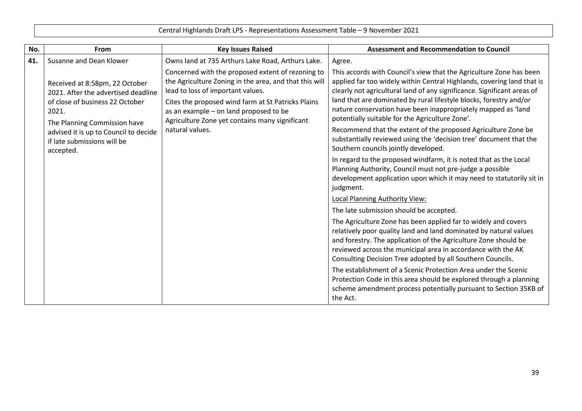| Central Highlands Draft LPS - Representations Assessment Table - 9 November 2021 |  |  |
|----------------------------------------------------------------------------------|--|--|
|----------------------------------------------------------------------------------|--|--|

| No. | From                                                                                                                                              | <b>Key Issues Raised</b>                                                                                                                                                                                                                                                                           | <b>Assessment and Recommendation to Council</b>                                                                                                                                                                                                                                                                                                                                                                    |
|-----|---------------------------------------------------------------------------------------------------------------------------------------------------|----------------------------------------------------------------------------------------------------------------------------------------------------------------------------------------------------------------------------------------------------------------------------------------------------|--------------------------------------------------------------------------------------------------------------------------------------------------------------------------------------------------------------------------------------------------------------------------------------------------------------------------------------------------------------------------------------------------------------------|
| 41. | Susanne and Dean Klower                                                                                                                           | Owns land at 735 Arthurs Lake Road, Arthurs Lake.                                                                                                                                                                                                                                                  | Agree.                                                                                                                                                                                                                                                                                                                                                                                                             |
|     | Received at 8:58pm, 22 October<br>2021. After the advertised deadline<br>of close of business 22 October<br>2021.<br>The Planning Commission have | Concerned with the proposed extent of rezoning to<br>the Agriculture Zoning in the area, and that this will<br>lead to loss of important values.<br>Cites the proposed wind farm at St Patricks Plains<br>as an example - on land proposed to be<br>Agriculture Zone yet contains many significant | This accords with Council's view that the Agriculture Zone has been<br>applied far too widely within Central Highlands, covering land that is<br>clearly not agricultural land of any significance. Significant areas of<br>land that are dominated by rural lifestyle blocks, forestry and/or<br>nature conservation have been inappropriately mapped as 'land<br>potentially suitable for the Agriculture Zone'. |
|     | advised it is up to Council to decide<br>if late submissions will be<br>accepted.                                                                 | natural values.                                                                                                                                                                                                                                                                                    | Recommend that the extent of the proposed Agriculture Zone be<br>substantially reviewed using the 'decision tree' document that the<br>Southern councils jointly developed.                                                                                                                                                                                                                                        |
|     |                                                                                                                                                   |                                                                                                                                                                                                                                                                                                    | In regard to the proposed windfarm, it is noted that as the Local<br>Planning Authority, Council must not pre-judge a possible<br>development application upon which it may need to statutorily sit in<br>judgment.                                                                                                                                                                                                |
|     |                                                                                                                                                   |                                                                                                                                                                                                                                                                                                    | <b>Local Planning Authority View:</b>                                                                                                                                                                                                                                                                                                                                                                              |
|     |                                                                                                                                                   |                                                                                                                                                                                                                                                                                                    | The late submission should be accepted.                                                                                                                                                                                                                                                                                                                                                                            |
|     |                                                                                                                                                   |                                                                                                                                                                                                                                                                                                    | The Agriculture Zone has been applied far to widely and covers<br>relatively poor quality land and land dominated by natural values<br>and forestry. The application of the Agriculture Zone should be<br>reviewed across the municipal area in accordance with the AK<br>Consulting Decision Tree adopted by all Southern Councils.                                                                               |
|     |                                                                                                                                                   |                                                                                                                                                                                                                                                                                                    | The establishment of a Scenic Protection Area under the Scenic<br>Protection Code in this area should be explored through a planning<br>scheme amendment process potentially pursuant to Section 35KB of<br>the Act.                                                                                                                                                                                               |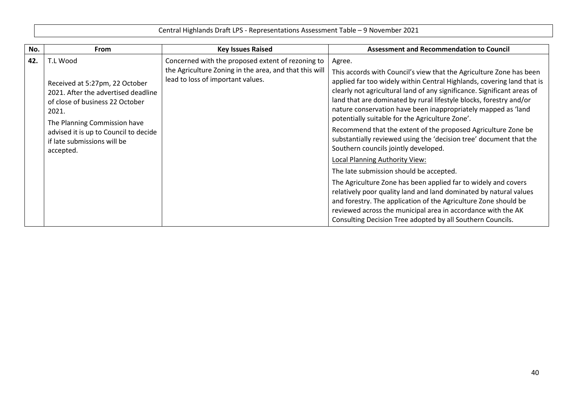| No. | <b>From</b>                                                                                                                                                                                                                                        | <b>Key Issues Raised</b>                                                                                                                         | <b>Assessment and Recommendation to Council</b>                                                                                                                                                                                                                                                                                                                                                                                                                                                                                                                                                                                                                                                                                                                                                                                                                                                    |
|-----|----------------------------------------------------------------------------------------------------------------------------------------------------------------------------------------------------------------------------------------------------|--------------------------------------------------------------------------------------------------------------------------------------------------|----------------------------------------------------------------------------------------------------------------------------------------------------------------------------------------------------------------------------------------------------------------------------------------------------------------------------------------------------------------------------------------------------------------------------------------------------------------------------------------------------------------------------------------------------------------------------------------------------------------------------------------------------------------------------------------------------------------------------------------------------------------------------------------------------------------------------------------------------------------------------------------------------|
| 42. | T.L Wood<br>Received at 5:27pm, 22 October<br>2021. After the advertised deadline<br>of close of business 22 October<br>2021.<br>The Planning Commission have<br>advised it is up to Council to decide<br>if late submissions will be<br>accepted. | Concerned with the proposed extent of rezoning to<br>the Agriculture Zoning in the area, and that this will<br>lead to loss of important values. | Agree.<br>This accords with Council's view that the Agriculture Zone has been<br>applied far too widely within Central Highlands, covering land that is<br>clearly not agricultural land of any significance. Significant areas of<br>land that are dominated by rural lifestyle blocks, forestry and/or<br>nature conservation have been inappropriately mapped as 'land<br>potentially suitable for the Agriculture Zone'.<br>Recommend that the extent of the proposed Agriculture Zone be<br>substantially reviewed using the 'decision tree' document that the<br>Southern councils jointly developed.<br>Local Planning Authority View:<br>The late submission should be accepted.<br>The Agriculture Zone has been applied far to widely and covers<br>relatively poor quality land and land dominated by natural values<br>and forestry. The application of the Agriculture Zone should be |
|     |                                                                                                                                                                                                                                                    |                                                                                                                                                  | reviewed across the municipal area in accordance with the AK<br>Consulting Decision Tree adopted by all Southern Councils.                                                                                                                                                                                                                                                                                                                                                                                                                                                                                                                                                                                                                                                                                                                                                                         |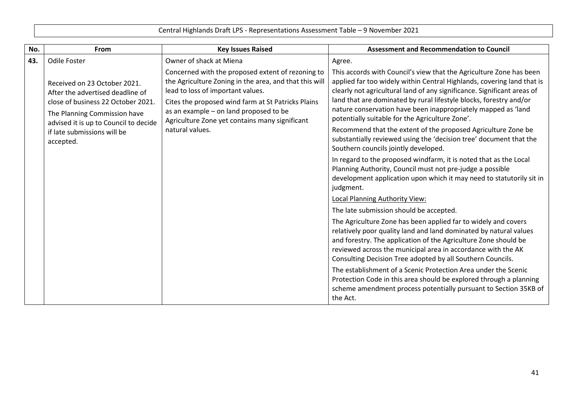| No. | From                                                                                                                                                                            | <b>Key Issues Raised</b>                                                                                                                                                                                                                                                                                              | <b>Assessment and Recommendation to Council</b>                                                                                                                                                                                                                                                                                                                                                                    |
|-----|---------------------------------------------------------------------------------------------------------------------------------------------------------------------------------|-----------------------------------------------------------------------------------------------------------------------------------------------------------------------------------------------------------------------------------------------------------------------------------------------------------------------|--------------------------------------------------------------------------------------------------------------------------------------------------------------------------------------------------------------------------------------------------------------------------------------------------------------------------------------------------------------------------------------------------------------------|
| 43. | <b>Odile Foster</b>                                                                                                                                                             | Owner of shack at Miena                                                                                                                                                                                                                                                                                               | Agree.                                                                                                                                                                                                                                                                                                                                                                                                             |
|     | Received on 23 October 2021.<br>After the advertised deadline of<br>close of business 22 October 2021.<br>The Planning Commission have<br>advised it is up to Council to decide | Concerned with the proposed extent of rezoning to<br>the Agriculture Zoning in the area, and that this will<br>lead to loss of important values.<br>Cites the proposed wind farm at St Patricks Plains<br>as an example - on land proposed to be<br>Agriculture Zone yet contains many significant<br>natural values. | This accords with Council's view that the Agriculture Zone has been<br>applied far too widely within Central Highlands, covering land that is<br>clearly not agricultural land of any significance. Significant areas of<br>land that are dominated by rural lifestyle blocks, forestry and/or<br>nature conservation have been inappropriately mapped as 'land<br>potentially suitable for the Agriculture Zone'. |
|     | if late submissions will be<br>accepted.                                                                                                                                        |                                                                                                                                                                                                                                                                                                                       | Recommend that the extent of the proposed Agriculture Zone be<br>substantially reviewed using the 'decision tree' document that the<br>Southern councils jointly developed.                                                                                                                                                                                                                                        |
|     |                                                                                                                                                                                 |                                                                                                                                                                                                                                                                                                                       | In regard to the proposed windfarm, it is noted that as the Local<br>Planning Authority, Council must not pre-judge a possible<br>development application upon which it may need to statutorily sit in<br>judgment.                                                                                                                                                                                                |
|     |                                                                                                                                                                                 |                                                                                                                                                                                                                                                                                                                       | <b>Local Planning Authority View:</b>                                                                                                                                                                                                                                                                                                                                                                              |
|     |                                                                                                                                                                                 |                                                                                                                                                                                                                                                                                                                       | The late submission should be accepted.                                                                                                                                                                                                                                                                                                                                                                            |
|     |                                                                                                                                                                                 |                                                                                                                                                                                                                                                                                                                       | The Agriculture Zone has been applied far to widely and covers<br>relatively poor quality land and land dominated by natural values<br>and forestry. The application of the Agriculture Zone should be<br>reviewed across the municipal area in accordance with the AK<br>Consulting Decision Tree adopted by all Southern Councils.                                                                               |
|     |                                                                                                                                                                                 |                                                                                                                                                                                                                                                                                                                       | The establishment of a Scenic Protection Area under the Scenic<br>Protection Code in this area should be explored through a planning<br>scheme amendment process potentially pursuant to Section 35KB of<br>the Act.                                                                                                                                                                                               |